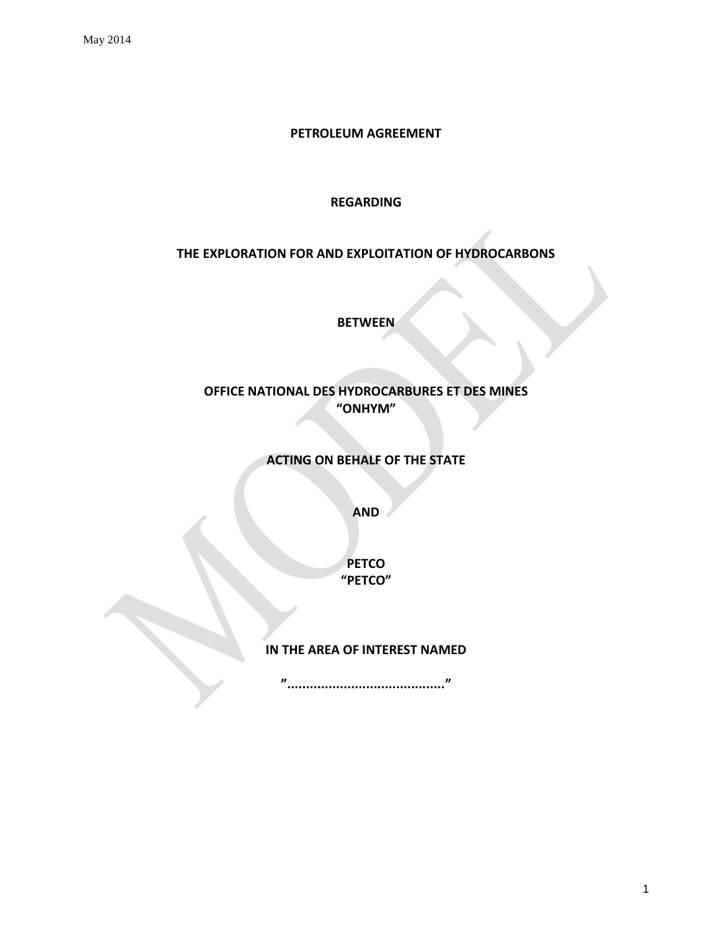#### **PETROLEUM AGREEMENT**

#### **REGARDING**

# **THE EXPLORATION FOR AND EXPLOITATION OF HYDROCARBONS**

**BETWEEN**

**OFFICE NATIONAL DES HYDROCARBURES ET DES MINES "ONHYM"**

**ACTING ON BEHALF OF THE STATE**

**AND**

**PETCO "PETCO"**

### **IN THE AREA OF INTEREST NAMED**

**".........................................."**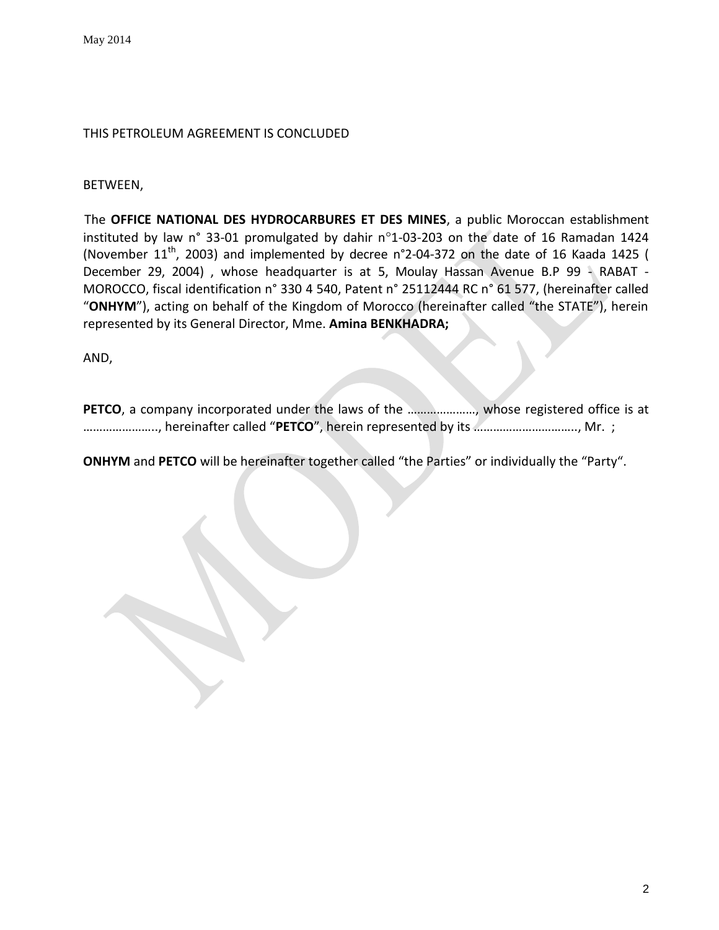### THIS PETROLEUM AGREEMENT IS CONCLUDED

BETWEEN,

The **OFFICE NATIONAL DES HYDROCARBURES ET DES MINES**, a public Moroccan establishment instituted by law n° 33-01 promulgated by dahir n°1-03-203 on the date of 16 Ramadan 1424 (November  $11<sup>th</sup>$ , 2003) and implemented by decree n°2-04-372 on the date of 16 Kaada 1425 ( December 29, 2004) , whose headquarter is at 5, Moulay Hassan Avenue B.P 99 - RABAT - MOROCCO, fiscal identification n° 330 4 540, Patent n° 25112444 RC n° 61 577, (hereinafter called "**ONHYM**"), acting on behalf of the Kingdom of Morocco (hereinafter called "the STATE"), herein represented by its General Director, Mme. **Amina BENKHADRA;**

AND,

**PETCO**, a company incorporated under the laws of the ......................., whose registered office is at ………………….., hereinafter called "**PETCO**", herein represented by its ………………………….., Mr. ;

**ONHYM** and **PETCO** will be hereinafter together called "the Parties" or individually the "Party".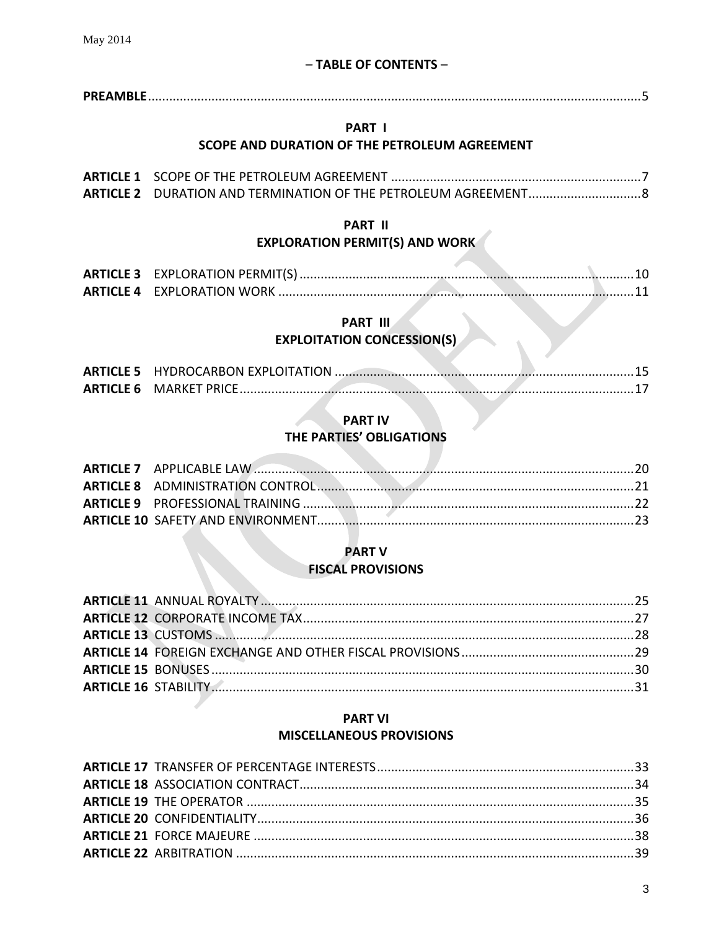# - TABLE OF CONTENTS -

### PART I

# SCOPE AND DURATION OF THE PETROLEUM AGREEMENT

# **PART II EXPLORATION PERMIT(S) AND WORK**

# PART III

# **EXPLOITATION CONCESSION(S)**

| <b>ARTICLE 6 MARKET PRICE.</b> |  |
|--------------------------------|--|

### **PART IV**

# THE PARTIES' OBLIGATIONS

# **PART V**

# **FISCAL PROVISIONS**

# **PART VI MISCELLANEOUS PROVISIONS**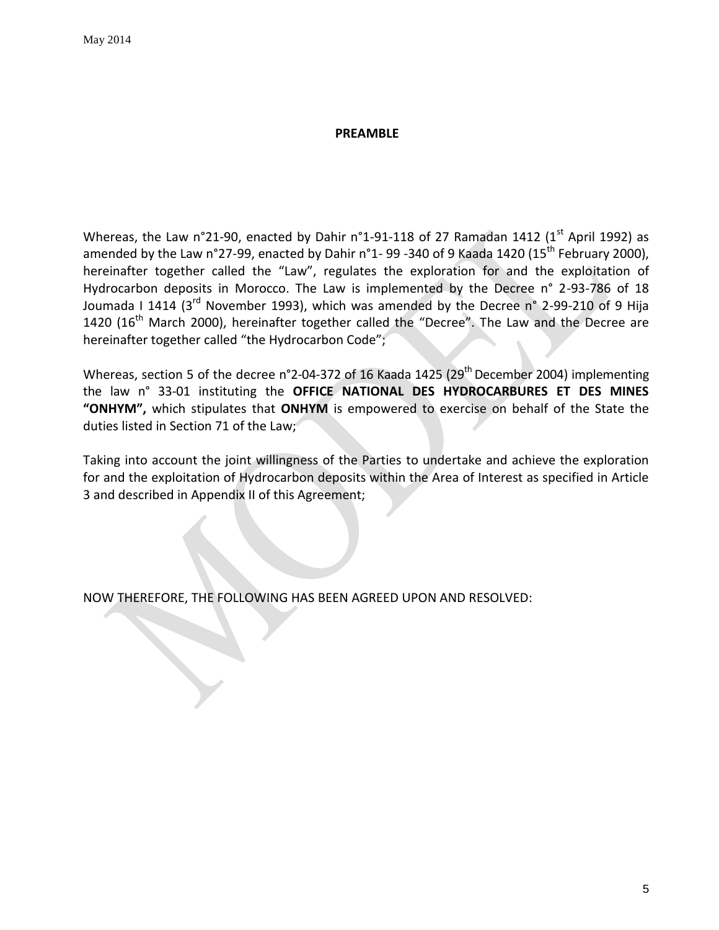#### **PREAMBLE**

<span id="page-4-0"></span>Whereas, the Law n°21-90, enacted by Dahir n°1-91-118 of 27 Ramadan 1412 (1st April 1992) as amended by the Law n°27-99, enacted by Dahir n°1- 99 -340 of 9 Kaada 1420 (15<sup>th</sup> February 2000), hereinafter together called the "Law", regulates the exploration for and the exploitation of Hydrocarbon deposits in Morocco. The Law is implemented by the Decree n° 2-93-786 of 18 Joumada I 1414 (3<sup>rd</sup> November 1993), which was amended by the Decree n° 2-99-210 of 9 Hija 1420 (16<sup>th</sup> March 2000), hereinafter together called the "Decree". The Law and the Decree are hereinafter together called "the Hydrocarbon Code";

Whereas, section 5 of the decree n°2-04-372 of 16 Kaada 1425 (29<sup>th</sup> December 2004) implementing the law n° 33-01 instituting the **OFFICE NATIONAL DES HYDROCARBURES ET DES MINES "ONHYM",** which stipulates that **ONHYM** is empowered to exercise on behalf of the State the duties listed in Section 71 of the Law;

Taking into account the joint willingness of the Parties to undertake and achieve the exploration for and the exploitation of Hydrocarbon deposits within the Area of Interest as specified in Article 3 and described in Appendix II of this Agreement;

NOW THEREFORE, THE FOLLOWING HAS BEEN AGREED UPON AND RESOLVED: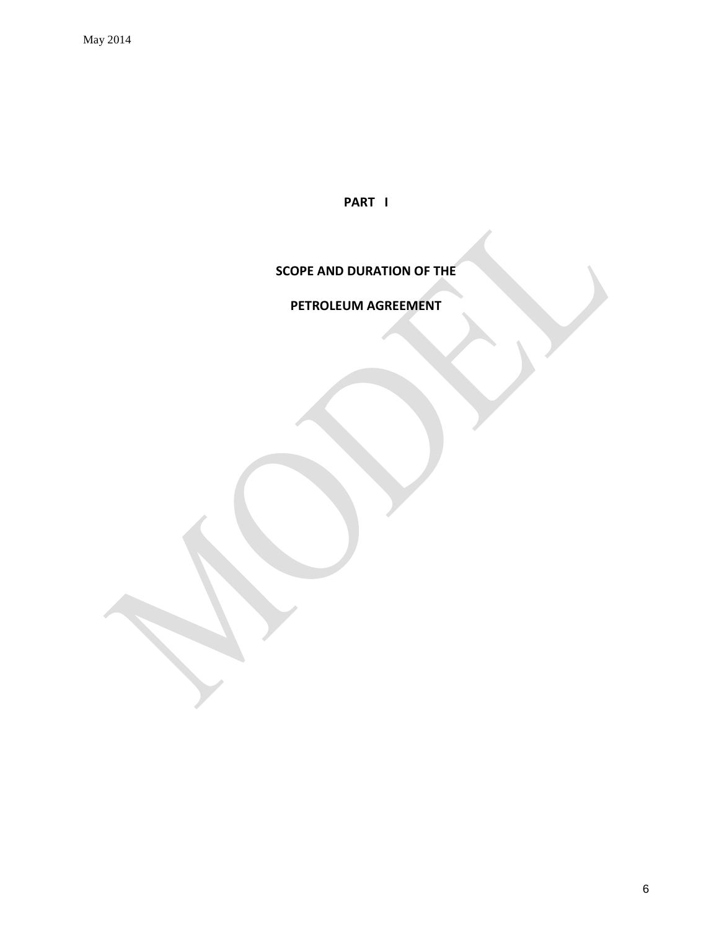**PART I**

# **SCOPE AND DURATION OF THE**

# **PETROLEUM AGREEMENT**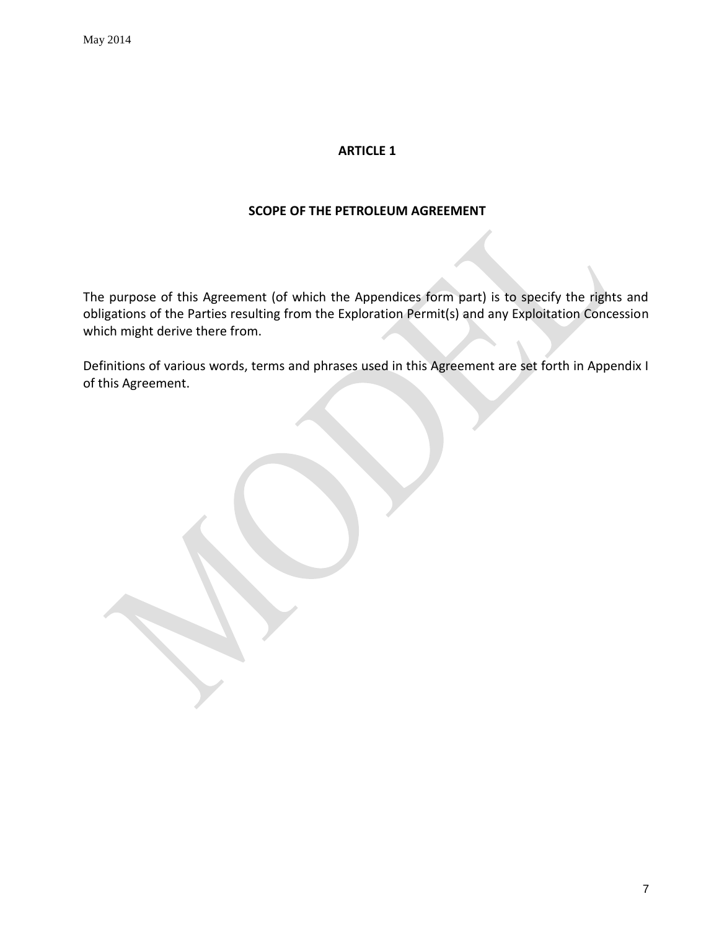#### **SCOPE OF THE PETROLEUM AGREEMENT**

<span id="page-6-0"></span>The purpose of this Agreement (of which the Appendices form part) is to specify the rights and obligations of the Parties resulting from the Exploration Permit(s) and any Exploitation Concession which might derive there from.

Definitions of various words, terms and phrases used in this Agreement are set forth in Appendix I of this Agreement.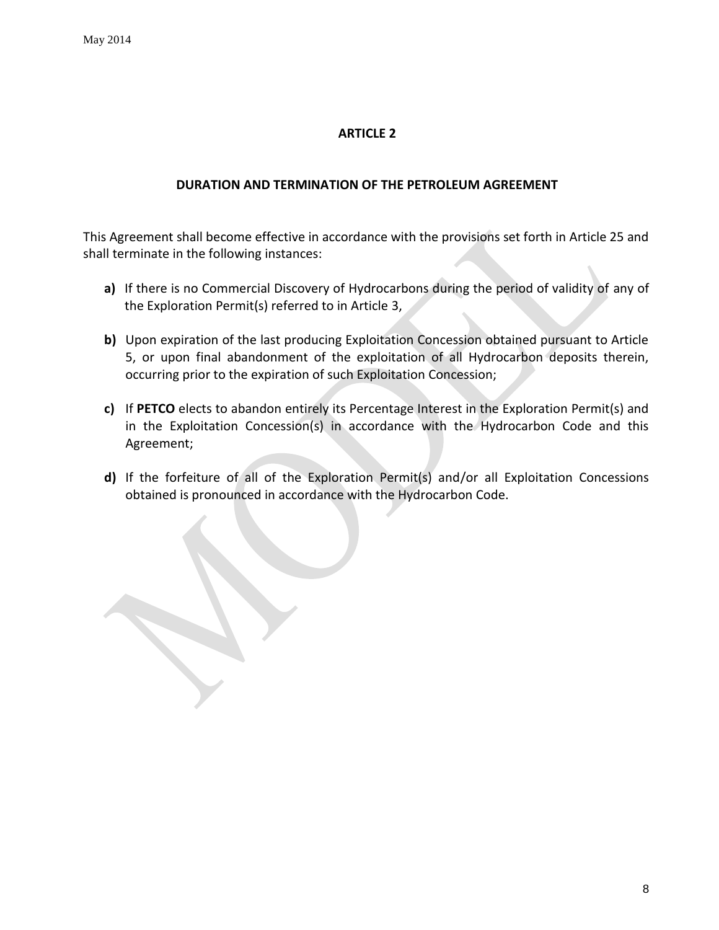### **DURATION AND TERMINATION OF THE PETROLEUM AGREEMENT**

<span id="page-7-0"></span>This Agreement shall become effective in accordance with the provisions set forth in Article 25 and shall terminate in the following instances:

- **a)** If there is no Commercial Discovery of Hydrocarbons during the period of validity of any of the Exploration Permit(s) referred to in Article 3,
- **b)** Upon expiration of the last producing Exploitation Concession obtained pursuant to Article 5, or upon final abandonment of the exploitation of all Hydrocarbon deposits therein, occurring prior to the expiration of such Exploitation Concession;
- **c)** If **PETCO** elects to abandon entirely its Percentage Interest in the Exploration Permit(s) and in the Exploitation Concession(s) in accordance with the Hydrocarbon Code and this Agreement;
- **d)** If the forfeiture of all of the Exploration Permit(s) and/or all Exploitation Concessions obtained is pronounced in accordance with the Hydrocarbon Code.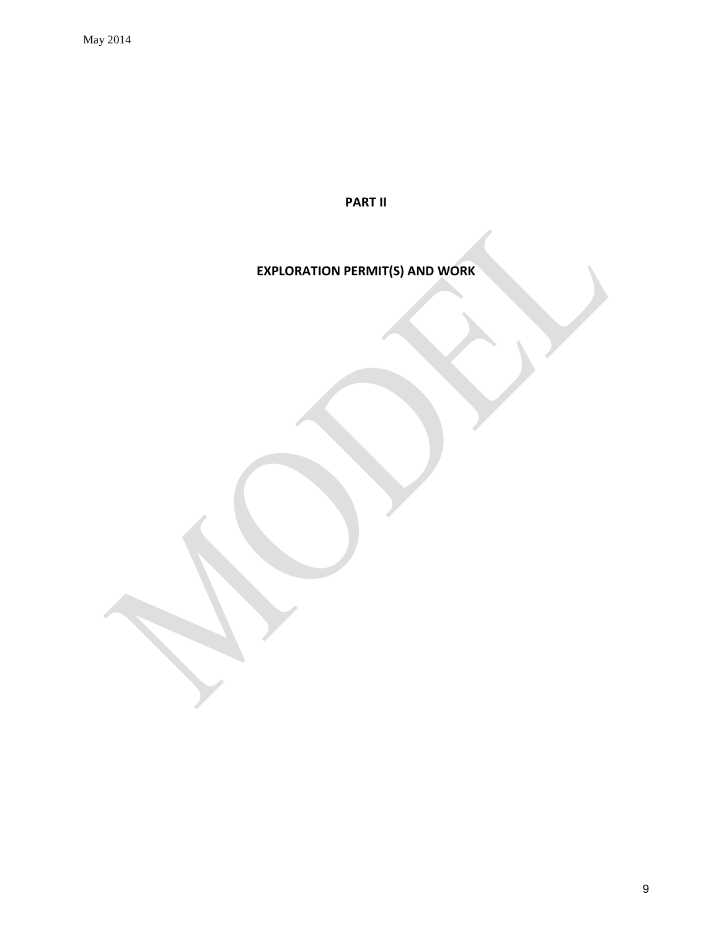**PART II**

# **EXPLORATION PERMIT(S) AND WORK**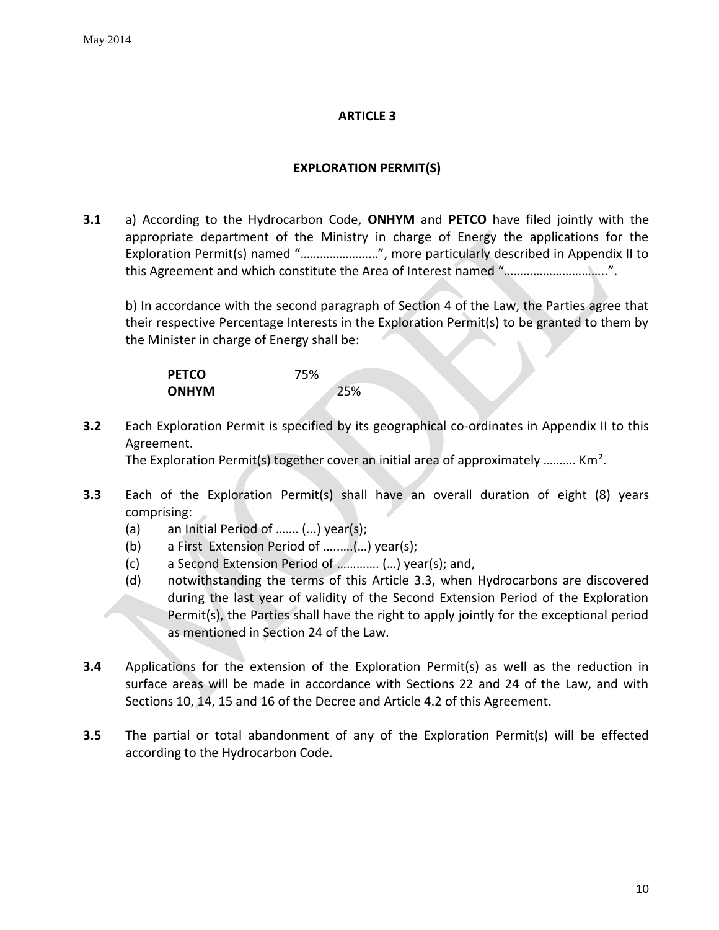# **EXPLORATION PERMIT(S)**

<span id="page-9-0"></span>**3.1** a) According to the Hydrocarbon Code, **ONHYM** and **PETCO** have filed jointly with the appropriate department of the Ministry in charge of Energy the applications for the Exploration Permit(s) named "……………………", more particularly described in Appendix II to this Agreement and which constitute the Area of Interest named "…………………………..".

b) In accordance with the second paragraph of Section 4 of the Law, the Parties agree that their respective Percentage Interests in the Exploration Permit(s) to be granted to them by the Minister in charge of Energy shall be:

| <b>PETCO</b> | 75% |
|--------------|-----|
| <b>ONHYM</b> | 25% |

**3.2** Each Exploration Permit is specified by its geographical co-ordinates in Appendix II to this Agreement.

The Exploration Permit(s) together cover an initial area of approximately ………. Km².

- **3.3** Each of the Exploration Permit(s) shall have an overall duration of eight (8) years comprising:
	- (a) an Initial Period of ……. (...) year(s);
	- (b) a First Extension Period of …..….(…) year(s);
	- (c) a Second Extension Period of …………. (…) year(s); and,
	- (d) notwithstanding the terms of this Article 3.3, when Hydrocarbons are discovered during the last year of validity of the Second Extension Period of the Exploration Permit(s), the Parties shall have the right to apply jointly for the exceptional period as mentioned in Section 24 of the Law.
- **3.4** Applications for the extension of the Exploration Permit(s) as well as the reduction in surface areas will be made in accordance with Sections 22 and 24 of the Law, and with Sections 10, 14, 15 and 16 of the Decree and Article 4.2 of this Agreement.
- **3.5** The partial or total abandonment of any of the Exploration Permit(s) will be effected according to the Hydrocarbon Code.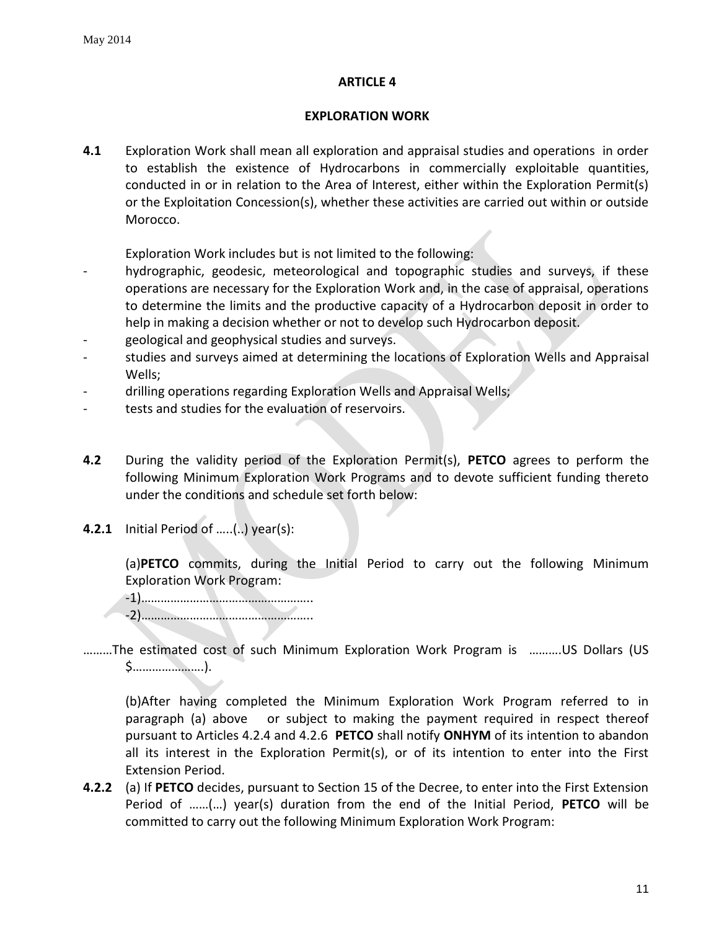### **EXPLORATION WORK**

<span id="page-10-0"></span>**4.1** Exploration Work shall mean all exploration and appraisal studies and operations in order to establish the existence of Hydrocarbons in commercially exploitable quantities, conducted in or in relation to the Area of Interest, either within the Exploration Permit(s) or the Exploitation Concession(s), whether these activities are carried out within or outside Morocco.

Exploration Work includes but is not limited to the following:

- hydrographic, geodesic, meteorological and topographic studies and surveys, if these operations are necessary for the Exploration Work and, in the case of appraisal, operations to determine the limits and the productive capacity of a Hydrocarbon deposit in order to help in making a decision whether or not to develop such Hydrocarbon deposit.
- geological and geophysical studies and surveys.
- studies and surveys aimed at determining the locations of Exploration Wells and Appraisal Wells;
- drilling operations regarding Exploration Wells and Appraisal Wells;
- tests and studies for the evaluation of reservoirs.
- **4.2** During the validity period of the Exploration Permit(s), **PETCO** agrees to perform the following Minimum Exploration Work Programs and to devote sufficient funding thereto under the conditions and schedule set forth below:
- **4.2.1** Initial Period of …..(..) year(s):

(a)**PETCO** commits, during the Initial Period to carry out the following Minimum Exploration Work Program:

-1)…………………………………………….. -2)……………………………………………..

………The estimated cost of such Minimum Exploration Work Program is ……….US Dollars (US \$………………….).

(b)After having completed the Minimum Exploration Work Program referred to in paragraph (a) above or subject to making the payment required in respect thereof pursuant to Articles 4.2.4 and 4.2.6 **PETCO** shall notify **ONHYM** of its intention to abandon all its interest in the Exploration Permit(s), or of its intention to enter into the First Extension Period.

**4.2.2** (a) If **PETCO** decides, pursuant to Section 15 of the Decree, to enter into the First Extension Period of ……(…) year(s) duration from the end of the Initial Period, **PETCO** will be committed to carry out the following Minimum Exploration Work Program: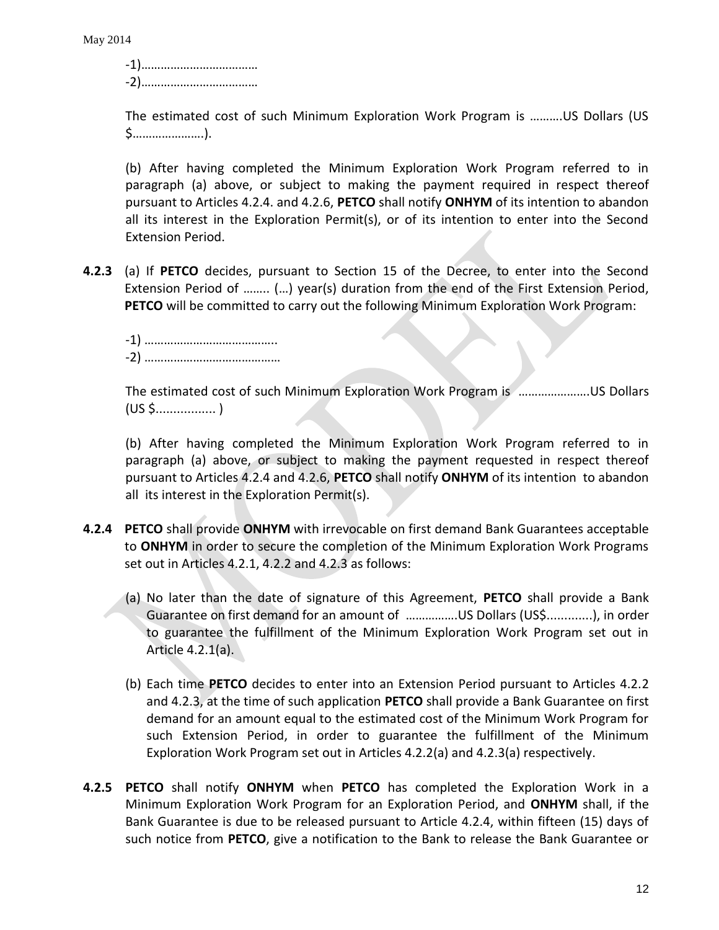-1)……………………………… -2)………………………………

The estimated cost of such Minimum Exploration Work Program is ……….US Dollars (US \$………………….).

(b) After having completed the Minimum Exploration Work Program referred to in paragraph (a) above, or subject to making the payment required in respect thereof pursuant to Articles 4.2.4. and 4.2.6, **PETCO** shall notify **ONHYM** of its intention to abandon all its interest in the Exploration Permit(s), or of its intention to enter into the Second Extension Period.

**4.2.3** (a) If **PETCO** decides, pursuant to Section 15 of the Decree, to enter into the Second Extension Period of …….. (…) year(s) duration from the end of the First Extension Period, **PETCO** will be committed to carry out the following Minimum Exploration Work Program:

-1) ………………………………….. -2) ……………………………………

The estimated cost of such Minimum Exploration Work Program is ………………….US Dollars (US \$................. )

(b) After having completed the Minimum Exploration Work Program referred to in paragraph (a) above, or subject to making the payment requested in respect thereof pursuant to Articles 4.2.4 and 4.2.6, **PETCO** shall notify **ONHYM** of its intention to abandon all its interest in the Exploration Permit(s).

- **4.2.4 PETCO** shall provide **ONHYM** with irrevocable on first demand Bank Guarantees acceptable to **ONHYM** in order to secure the completion of the Minimum Exploration Work Programs set out in Articles 4.2.1, 4.2.2 and 4.2.3 as follows:
	- (a) No later than the date of signature of this Agreement, **PETCO** shall provide a Bank Guarantee on first demand for an amount of …………….US Dollars (US\$.............), in order to guarantee the fulfillment of the Minimum Exploration Work Program set out in Article 4.2.1(a).
	- (b) Each time **PETCO** decides to enter into an Extension Period pursuant to Articles 4.2.2 and 4.2.3, at the time of such application **PETCO** shall provide a Bank Guarantee on first demand for an amount equal to the estimated cost of the Minimum Work Program for such Extension Period, in order to guarantee the fulfillment of the Minimum Exploration Work Program set out in Articles 4.2.2(a) and 4.2.3(a) respectively.
- **4.2.5 PETCO** shall notify **ONHYM** when **PETCO** has completed the Exploration Work in a Minimum Exploration Work Program for an Exploration Period, and **ONHYM** shall, if the Bank Guarantee is due to be released pursuant to Article 4.2.4, within fifteen (15) days of such notice from **PETCO**, give a notification to the Bank to release the Bank Guarantee or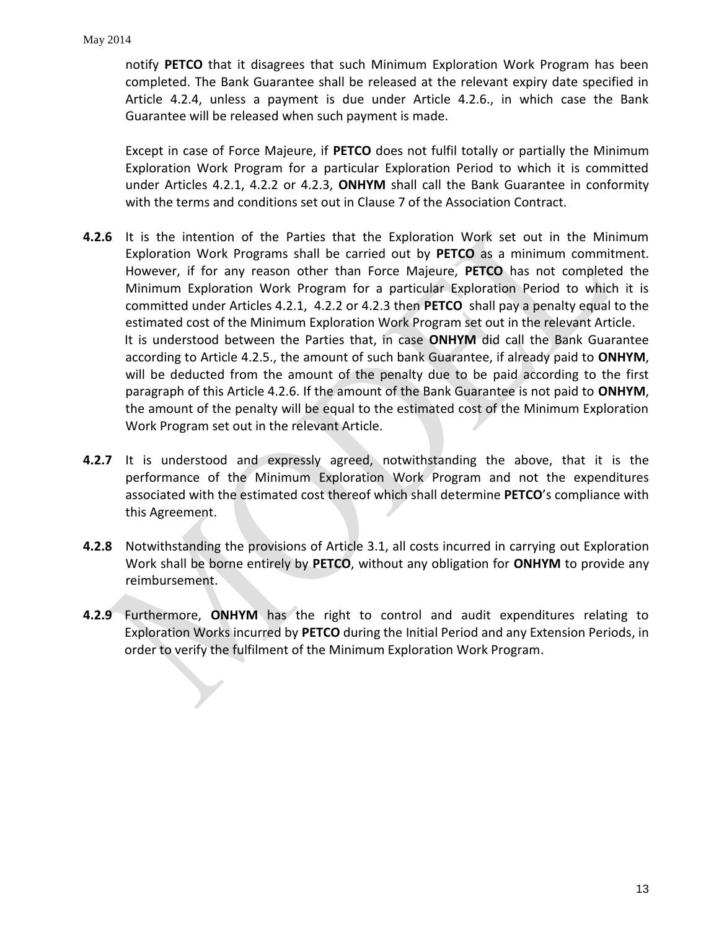notify **PETCO** that it disagrees that such Minimum Exploration Work Program has been completed. The Bank Guarantee shall be released at the relevant expiry date specified in Article 4.2.4, unless a payment is due under Article 4.2.6., in which case the Bank Guarantee will be released when such payment is made.

Except in case of Force Majeure, if **PETCO** does not fulfil totally or partially the Minimum Exploration Work Program for a particular Exploration Period to which it is committed under Articles 4.2.1, 4.2.2 or 4.2.3, **ONHYM** shall call the Bank Guarantee in conformity with the terms and conditions set out in Clause 7 of the Association Contract.

- **4.2.6** It is the intention of the Parties that the Exploration Work set out in the Minimum Exploration Work Programs shall be carried out by **PETCO** as a minimum commitment. However, if for any reason other than Force Majeure, **PETCO** has not completed the Minimum Exploration Work Program for a particular Exploration Period to which it is committed under Articles 4.2.1, 4.2.2 or 4.2.3 then **PETCO** shall pay a penalty equal to the estimated cost of the Minimum Exploration Work Program set out in the relevant Article. It is understood between the Parties that, in case **ONHYM** did call the Bank Guarantee according to Article 4.2.5., the amount of such bank Guarantee, if already paid to **ONHYM**, will be deducted from the amount of the penalty due to be paid according to the first paragraph of this Article 4.2.6. If the amount of the Bank Guarantee is not paid to **ONHYM**, the amount of the penalty will be equal to the estimated cost of the Minimum Exploration Work Program set out in the relevant Article.
- **4.2.7** It is understood and expressly agreed, notwithstanding the above, that it is the performance of the Minimum Exploration Work Program and not the expenditures associated with the estimated cost thereof which shall determine **PETCO**'s compliance with this Agreement.
- **4.2.8** Notwithstanding the provisions of Article 3.1, all costs incurred in carrying out Exploration Work shall be borne entirely by **PETCO**, without any obligation for **ONHYM** to provide any reimbursement.
- **4.2.9** Furthermore, **ONHYM** has the right to control and audit expenditures relating to Exploration Works incurred by **PETCO** during the Initial Period and any Extension Periods, in order to verify the fulfilment of the Minimum Exploration Work Program.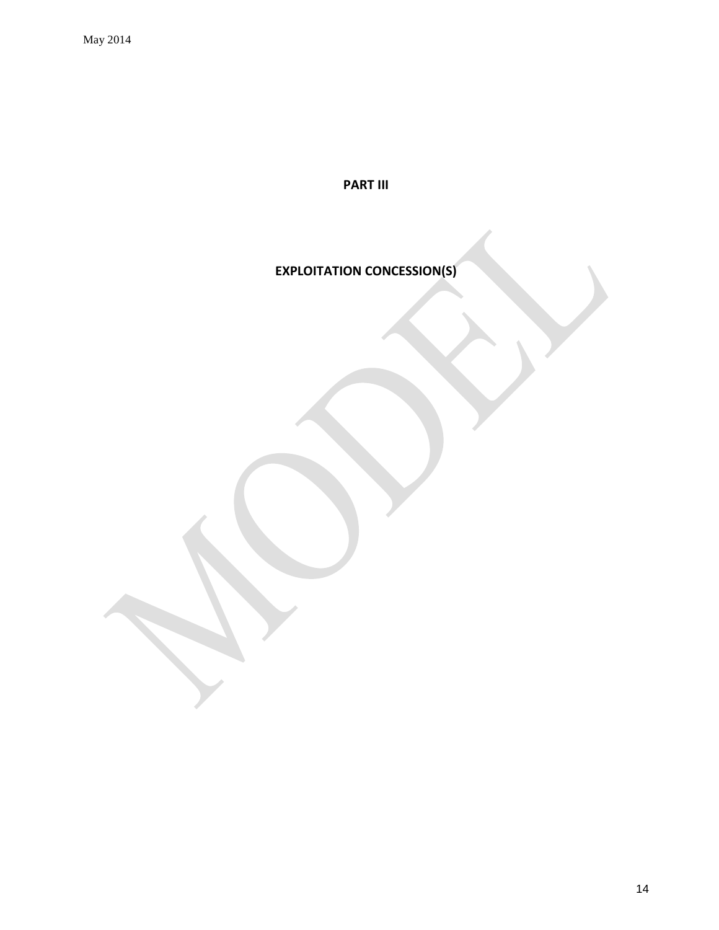**PART III**

**EXPLOITATION CONCESSION(S)**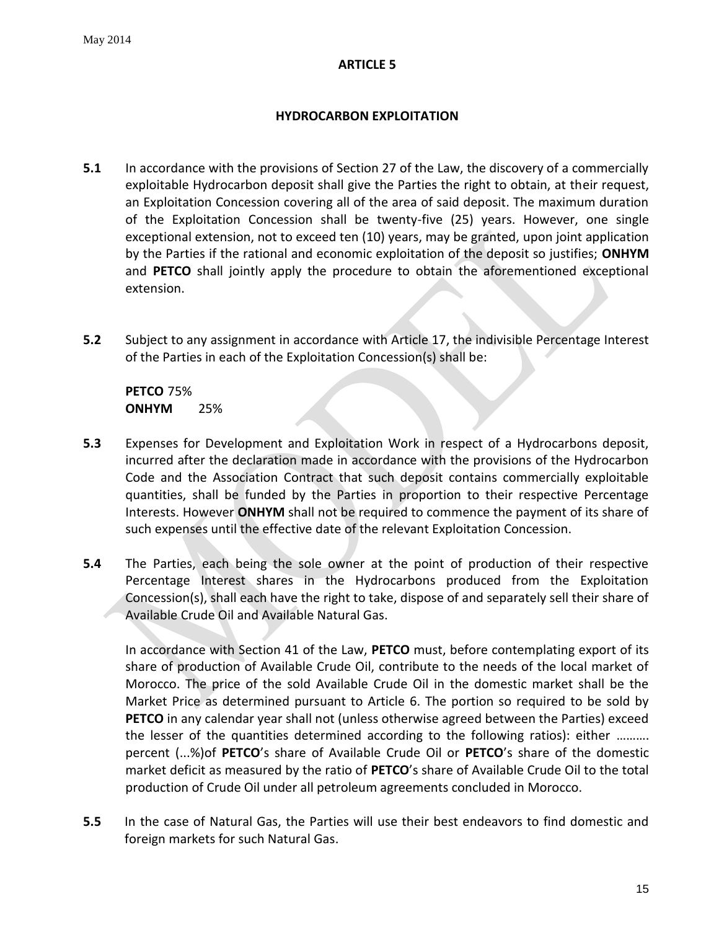# **HYDROCARBON EXPLOITATION**

- <span id="page-14-1"></span><span id="page-14-0"></span>**5.1** In accordance with the provisions of Section 27 of the Law, the discovery of a commercially exploitable Hydrocarbon deposit shall give the Parties the right to obtain, at their request, an Exploitation Concession covering all of the area of said deposit. The maximum duration of the Exploitation Concession shall be twenty-five (25) years. However, one single exceptional extension, not to exceed ten (10) years, may be granted, upon joint application by the Parties if the rational and economic exploitation of the deposit so justifies; **ONHYM** and **PETCO** shall jointly apply the procedure to obtain the aforementioned exceptional extension.
- **5.2** Subject to any assignment in accordance with Article 17, the indivisible Percentage Interest of the Parties in each of the Exploitation Concession(s) shall be:

**PETCO** 75% **ONHYM** 25%

- **5.3** Expenses for Development and Exploitation Work in respect of a Hydrocarbons deposit, incurred after the declaration made in accordance with the provisions of the Hydrocarbon Code and the Association Contract that such deposit contains commercially exploitable quantities, shall be funded by the Parties in proportion to their respective Percentage Interests. However **ONHYM** shall not be required to commence the payment of its share of such expenses until the effective date of the relevant Exploitation Concession.
- **5.4** The Parties, each being the sole owner at the point of production of their respective Percentage Interest shares in the Hydrocarbons produced from the Exploitation Concession(s), shall each have the right to take, dispose of and separately sell their share of Available Crude Oil and Available Natural Gas.

In accordance with Section 41 of the Law, **PETCO** must, before contemplating export of its share of production of Available Crude Oil, contribute to the needs of the local market of Morocco. The price of the sold Available Crude Oil in the domestic market shall be the Market Price as determined pursuant to Article 6. The portion so required to be sold by **PETCO** in any calendar year shall not (unless otherwise agreed between the Parties) exceed the lesser of the quantities determined according to the following ratios): either ………. percent (...%)of **PETCO**'s share of Available Crude Oil or **PETCO**'s share of the domestic market deficit as measured by the ratio of **PETCO**'s share of Available Crude Oil to the total production of Crude Oil under all petroleum agreements concluded in Morocco.

**5.5** In the case of Natural Gas, the Parties will use their best endeavors to find domestic and foreign markets for such Natural Gas.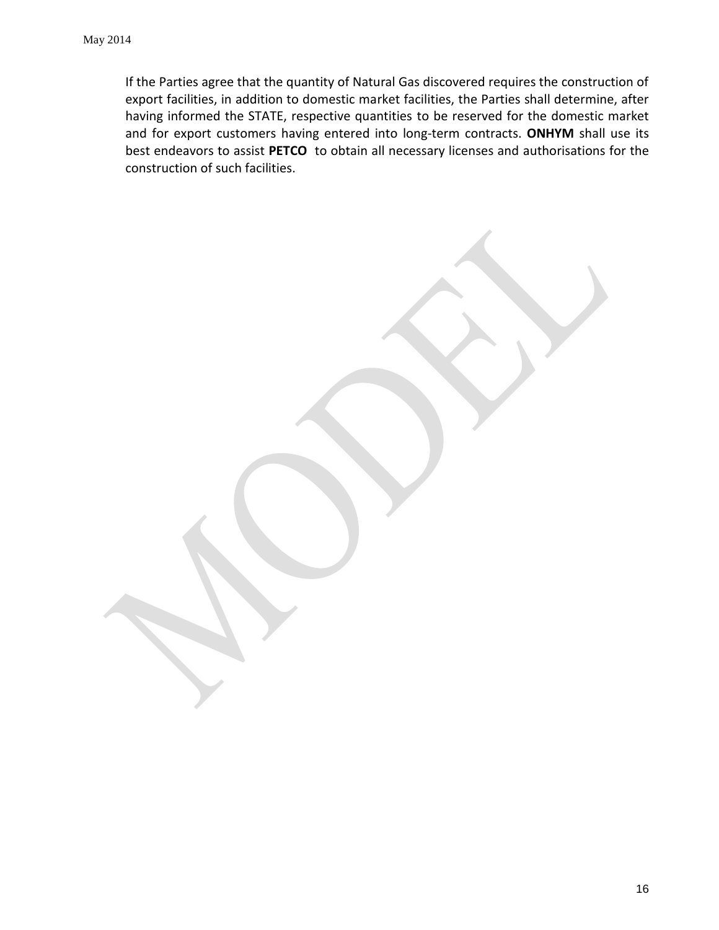If the Parties agree that the quantity of Natural Gas discovered requires the construction of export facilities, in addition to domestic market facilities, the Parties shall determine, after having informed the STATE, respective quantities to be reserved for the domestic market and for export customers having entered into long-term contracts. **ONHYM** shall use its best endeavors to assist **PETCO** to obtain all necessary licenses and authorisations for the construction of such facilities.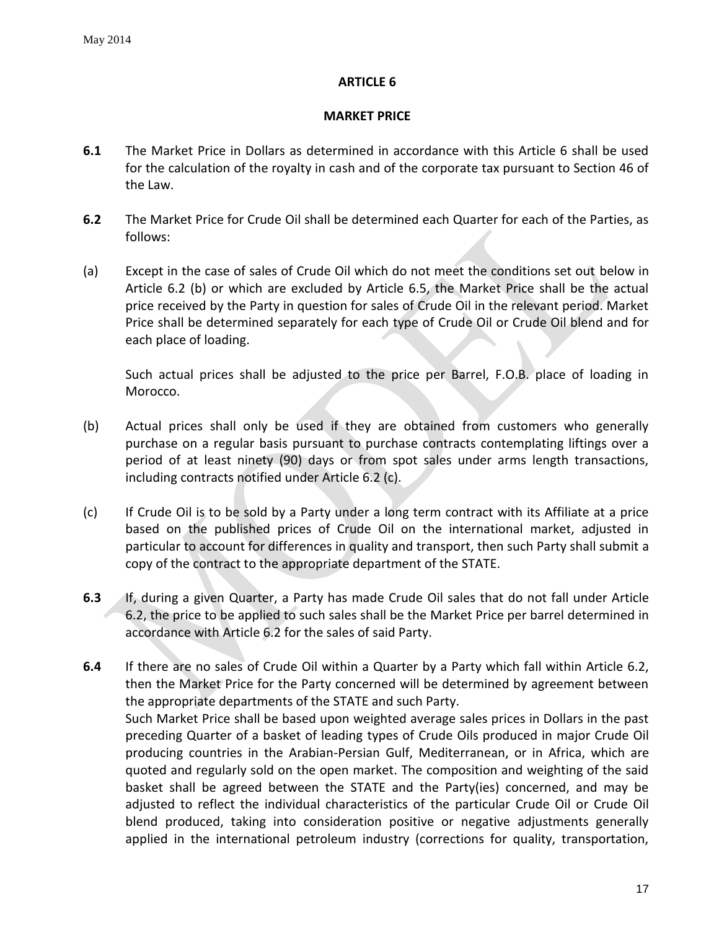### **MARKET PRICE**

- <span id="page-16-0"></span>**6.1** The Market Price in Dollars as determined in accordance with this Article 6 shall be used for the calculation of the royalty in cash and of the corporate tax pursuant to Section 46 of the Law.
- **6.2** The Market Price for Crude Oil shall be determined each Quarter for each of the Parties, as follows:
- (a) Except in the case of sales of Crude Oil which do not meet the conditions set out below in Article 6.2 (b) or which are excluded by Article 6.5, the Market Price shall be the actual price received by the Party in question for sales of Crude Oil in the relevant period. Market Price shall be determined separately for each type of Crude Oil or Crude Oil blend and for each place of loading.

Such actual prices shall be adjusted to the price per Barrel, F.O.B. place of loading in Morocco.

- (b) Actual prices shall only be used if they are obtained from customers who generally purchase on a regular basis pursuant to purchase contracts contemplating liftings over a period of at least ninety (90) days or from spot sales under arms length transactions, including contracts notified under Article 6.2 (c).
- (c) If Crude Oil is to be sold by a Party under a long term contract with its Affiliate at a price based on the published prices of Crude Oil on the international market, adjusted in particular to account for differences in quality and transport, then such Party shall submit a copy of the contract to the appropriate department of the STATE.
- **6.3** If, during a given Quarter, a Party has made Crude Oil sales that do not fall under Article 6.2, the price to be applied to such sales shall be the Market Price per barrel determined in accordance with Article 6.2 for the sales of said Party.
- **6.4** If there are no sales of Crude Oil within a Quarter by a Party which fall within Article 6.2, then the Market Price for the Party concerned will be determined by agreement between the appropriate departments of the STATE and such Party. Such Market Price shall be based upon weighted average sales prices in Dollars in the past preceding Quarter of a basket of leading types of Crude Oils produced in major Crude Oil producing countries in the Arabian-Persian Gulf, Mediterranean, or in Africa, which are quoted and regularly sold on the open market. The composition and weighting of the said basket shall be agreed between the STATE and the Party(ies) concerned, and may be adjusted to reflect the individual characteristics of the particular Crude Oil or Crude Oil blend produced, taking into consideration positive or negative adjustments generally applied in the international petroleum industry (corrections for quality, transportation,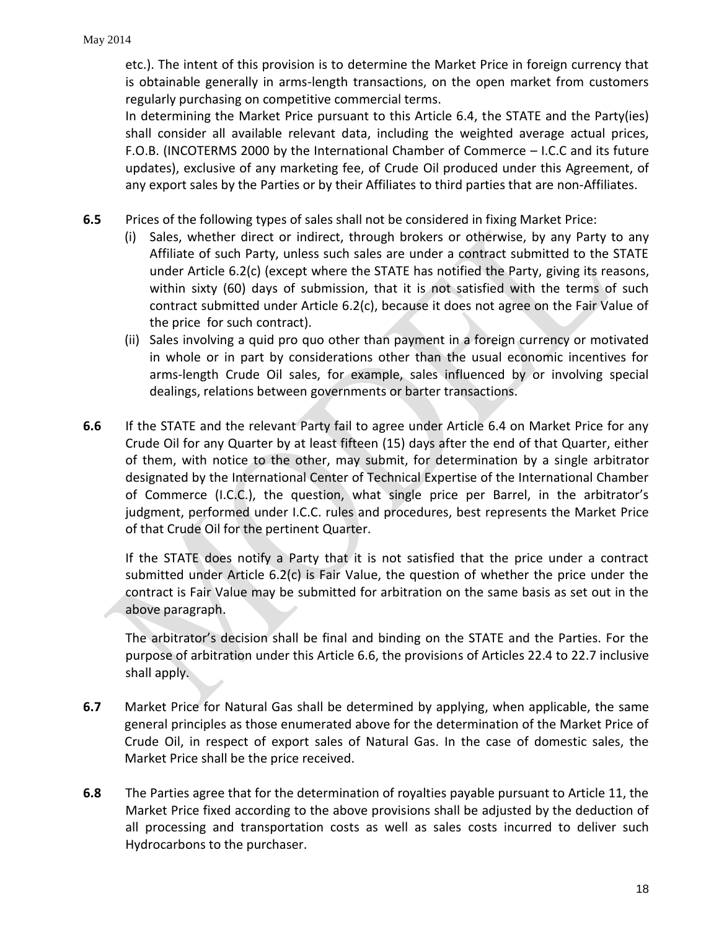etc.). The intent of this provision is to determine the Market Price in foreign currency that is obtainable generally in arms-length transactions, on the open market from customers regularly purchasing on competitive commercial terms.

In determining the Market Price pursuant to this Article 6.4, the STATE and the Party(ies) shall consider all available relevant data, including the weighted average actual prices, F.O.B. (INCOTERMS 2000 by the International Chamber of Commerce – I.C.C and its future updates), exclusive of any marketing fee, of Crude Oil produced under this Agreement, of any export sales by the Parties or by their Affiliates to third parties that are non-Affiliates.

- **6.5** Prices of the following types of sales shall not be considered in fixing Market Price:
	- (i) Sales, whether direct or indirect, through brokers or otherwise, by any Party to any Affiliate of such Party, unless such sales are under a contract submitted to the STATE under Article 6.2(c) (except where the STATE has notified the Party, giving its reasons, within sixty (60) days of submission, that it is not satisfied with the terms of such contract submitted under Article 6.2(c), because it does not agree on the Fair Value of the price for such contract).
	- (ii) Sales involving a quid pro quo other than payment in a foreign currency or motivated in whole or in part by considerations other than the usual economic incentives for arms-length Crude Oil sales, for example, sales influenced by or involving special dealings, relations between governments or barter transactions.
- **6.6** If the STATE and the relevant Party fail to agree under Article 6.4 on Market Price for any Crude Oil for any Quarter by at least fifteen (15) days after the end of that Quarter, either of them, with notice to the other, may submit, for determination by a single arbitrator designated by the International Center of Technical Expertise of the International Chamber of Commerce (I.C.C.), the question, what single price per Barrel, in the arbitrator's judgment, performed under I.C.C. rules and procedures, best represents the Market Price of that Crude Oil for the pertinent Quarter.

If the STATE does notify a Party that it is not satisfied that the price under a contract submitted under Article 6.2(c) is Fair Value, the question of whether the price under the contract is Fair Value may be submitted for arbitration on the same basis as set out in the above paragraph.

The arbitrator's decision shall be final and binding on the STATE and the Parties. For the purpose of arbitration under this Article 6.6, the provisions of Articles 22.4 to 22.7 inclusive shall apply.

- **6.7** Market Price for Natural Gas shall be determined by applying, when applicable, the same general principles as those enumerated above for the determination of the Market Price of Crude Oil, in respect of export sales of Natural Gas. In the case of domestic sales, the Market Price shall be the price received.
- **6.8** The Parties agree that for the determination of royalties payable pursuant to Article 11, the Market Price fixed according to the above provisions shall be adjusted by the deduction of all processing and transportation costs as well as sales costs incurred to deliver such Hydrocarbons to the purchaser.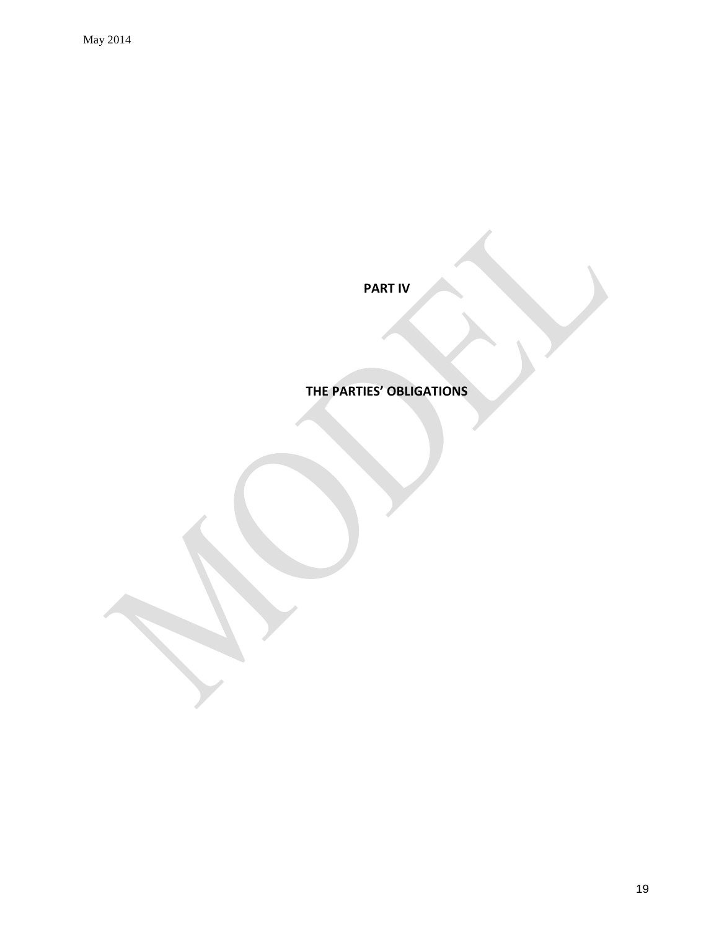**PART IV**

**THE PARTIES' OBLIGATIONS**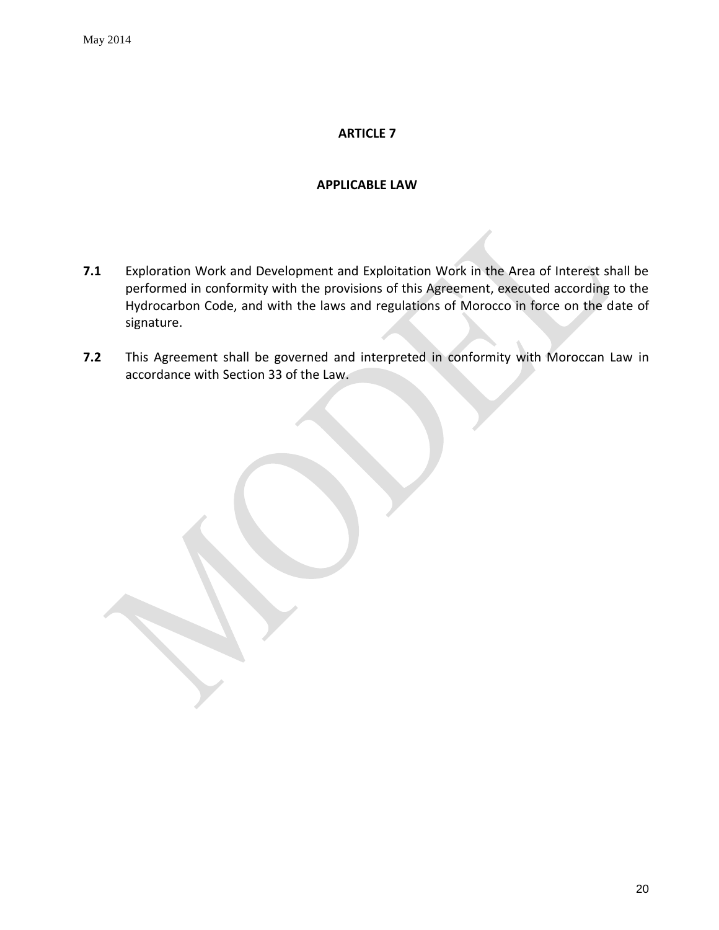### **APPLICABLE LAW**

- <span id="page-19-0"></span>**7.1** Exploration Work and Development and Exploitation Work in the Area of Interest shall be performed in conformity with the provisions of this Agreement, executed according to the Hydrocarbon Code, and with the laws and regulations of Morocco in force on the date of signature.
- **7.2** This Agreement shall be governed and interpreted in conformity with Moroccan Law in accordance with Section 33 of the Law.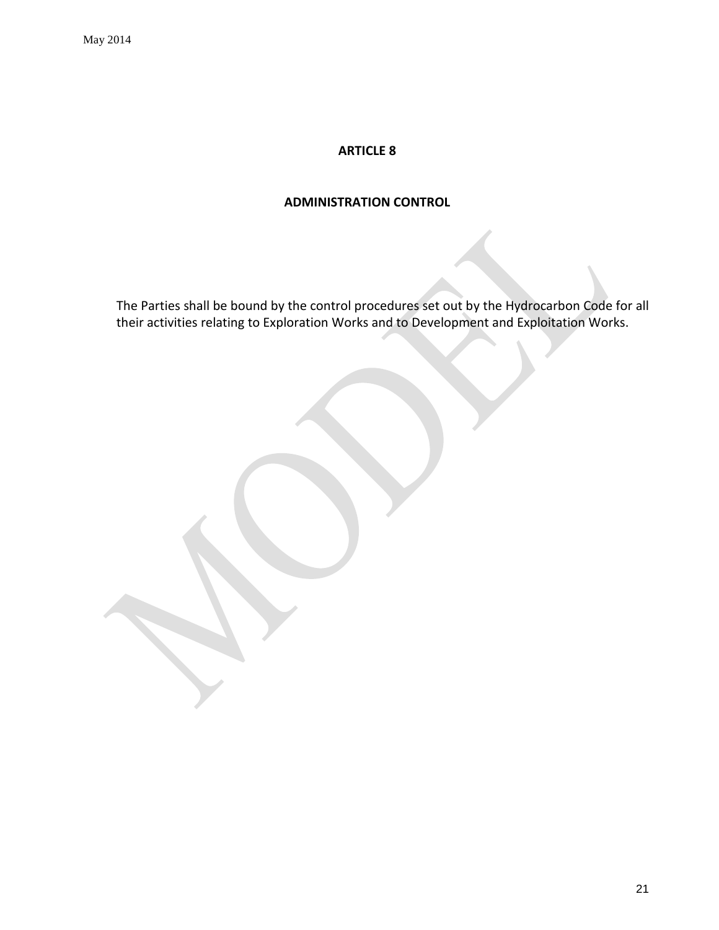<span id="page-20-0"></span>May 2014

# **ARTICLE 8**

### **ADMINISTRATION CONTROL**

The Parties shall be bound by the control procedures set out by the Hydrocarbon Code for all their activities relating to Exploration Works and to Development and Exploitation Works.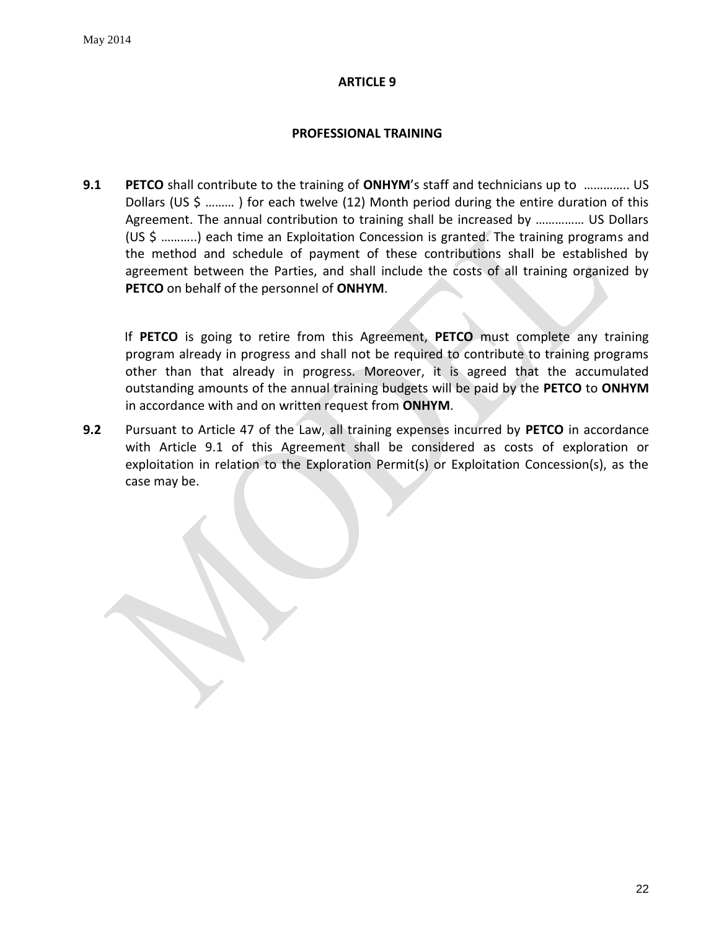### <span id="page-21-1"></span>**PROFESSIONAL TRAINING**

<span id="page-21-0"></span>**9.1 PETCO** shall contribute to the training of **ONHYM**'s staff and technicians up to ………….. US Dollars (US \$ ……… ) for each twelve (12) Month period during the entire duration of this Agreement. The annual contribution to training shall be increased by …………… US Dollars (US \$ ………..) each time an Exploitation Concession is granted. The training programs and the method and schedule of payment of these contributions shall be established by agreement between the Parties, and shall include the costs of all training organized by **PETCO** on behalf of the personnel of **ONHYM**.

If **PETCO** is going to retire from this Agreement, **PETCO** must complete any training program already in progress and shall not be required to contribute to training programs other than that already in progress. Moreover, it is agreed that the accumulated outstanding amounts of the annual training budgets will be paid by the **PETCO** to **ONHYM** in accordance with and on written request from **ONHYM**.

**9.2** Pursuant to Article 47 of the Law, all training expenses incurred by **PETCO** in accordance with Article 9.1 of this Agreement shall be considered as costs of exploration or exploitation in relation to the Exploration Permit(s) or Exploitation Concession(s), as the case may be.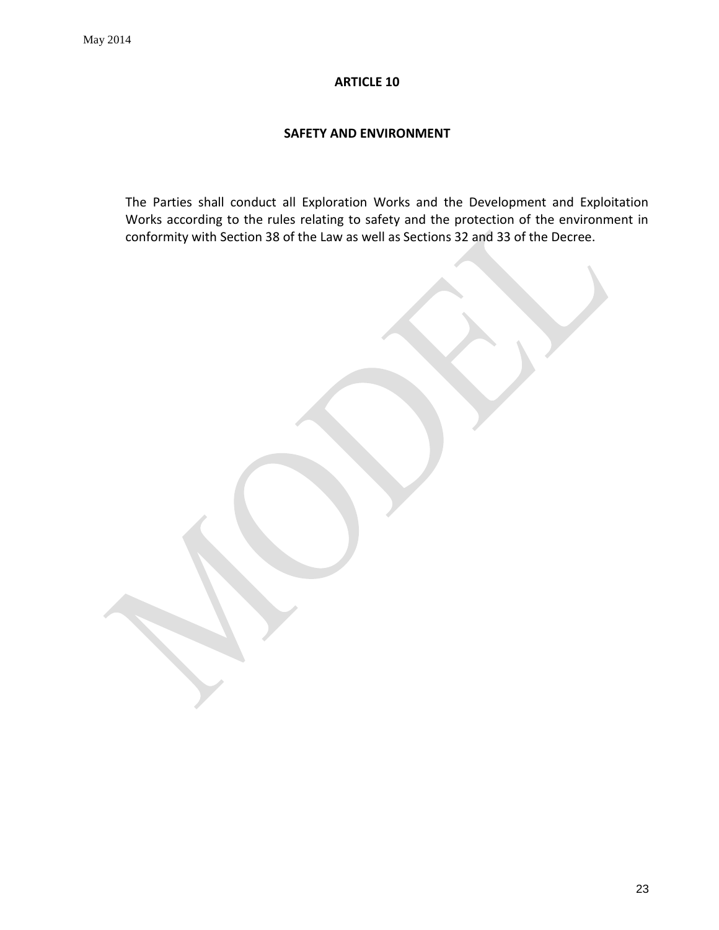#### <span id="page-22-1"></span>**SAFETY AND ENVIRONMENT**

<span id="page-22-0"></span>The Parties shall conduct all Exploration Works and the Development and Exploitation Works according to the rules relating to safety and the protection of the environment in conformity with Section 38 of the Law as well as Sections 32 and 33 of the Decree.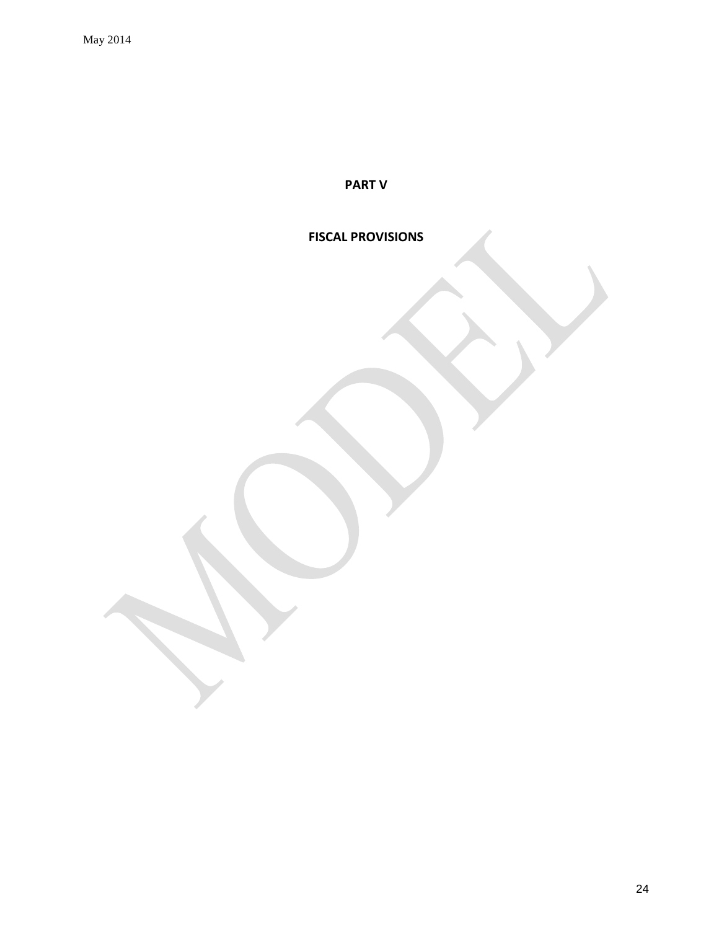**PART V**

# **FISCAL PROVISIONS**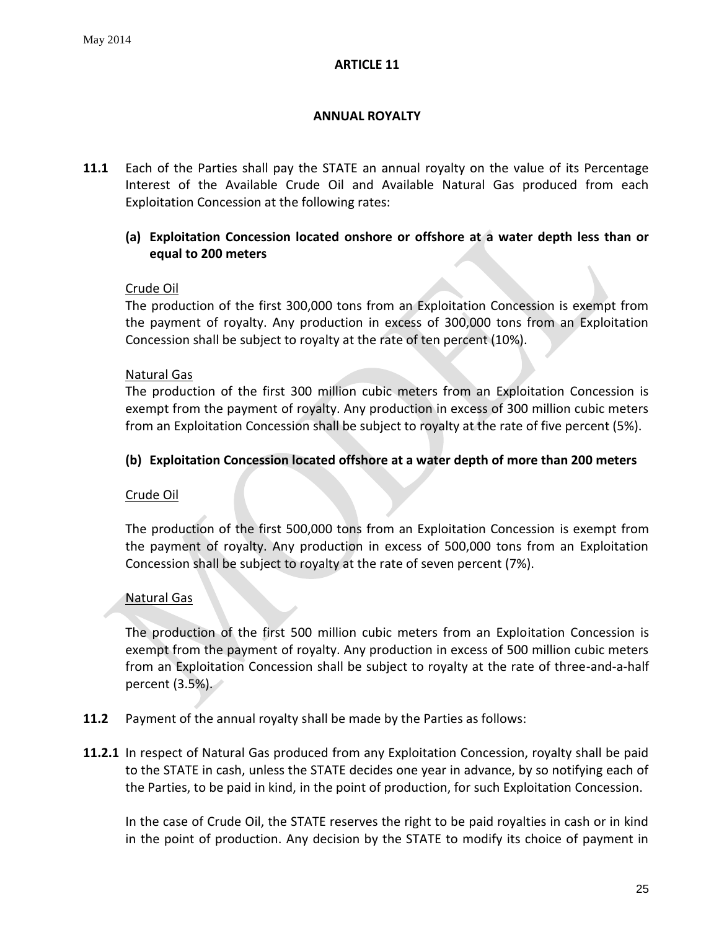# <span id="page-24-1"></span>**ANNUAL ROYALTY**

<span id="page-24-0"></span>**11.1** Each of the Parties shall pay the STATE an annual royalty on the value of its Percentage Interest of the Available Crude Oil and Available Natural Gas produced from each Exploitation Concession at the following rates:

# **(a) Exploitation Concession located onshore or offshore at a water depth less than or equal to 200 meters**

# Crude Oil

The production of the first 300,000 tons from an Exploitation Concession is exempt from the payment of royalty. Any production in excess of 300,000 tons from an Exploitation Concession shall be subject to royalty at the rate of ten percent (10%).

### Natural Gas

The production of the first 300 million cubic meters from an Exploitation Concession is exempt from the payment of royalty. Any production in excess of 300 million cubic meters from an Exploitation Concession shall be subject to royalty at the rate of five percent (5%).

# **(b) Exploitation Concession located offshore at a water depth of more than 200 meters**

# Crude Oil

The production of the first 500,000 tons from an Exploitation Concession is exempt from the payment of royalty. Any production in excess of 500,000 tons from an Exploitation Concession shall be subject to royalty at the rate of seven percent (7%).

# Natural Gas

The production of the first 500 million cubic meters from an Exploitation Concession is exempt from the payment of royalty. Any production in excess of 500 million cubic meters from an Exploitation Concession shall be subject to royalty at the rate of three-and-a-half percent (3.5%).

- **11.2** Payment of the annual royalty shall be made by the Parties as follows:
- **11.2.1** In respect of Natural Gas produced from any Exploitation Concession, royalty shall be paid to the STATE in cash, unless the STATE decides one year in advance, by so notifying each of the Parties, to be paid in kind, in the point of production, for such Exploitation Concession.

In the case of Crude Oil, the STATE reserves the right to be paid royalties in cash or in kind in the point of production. Any decision by the STATE to modify its choice of payment in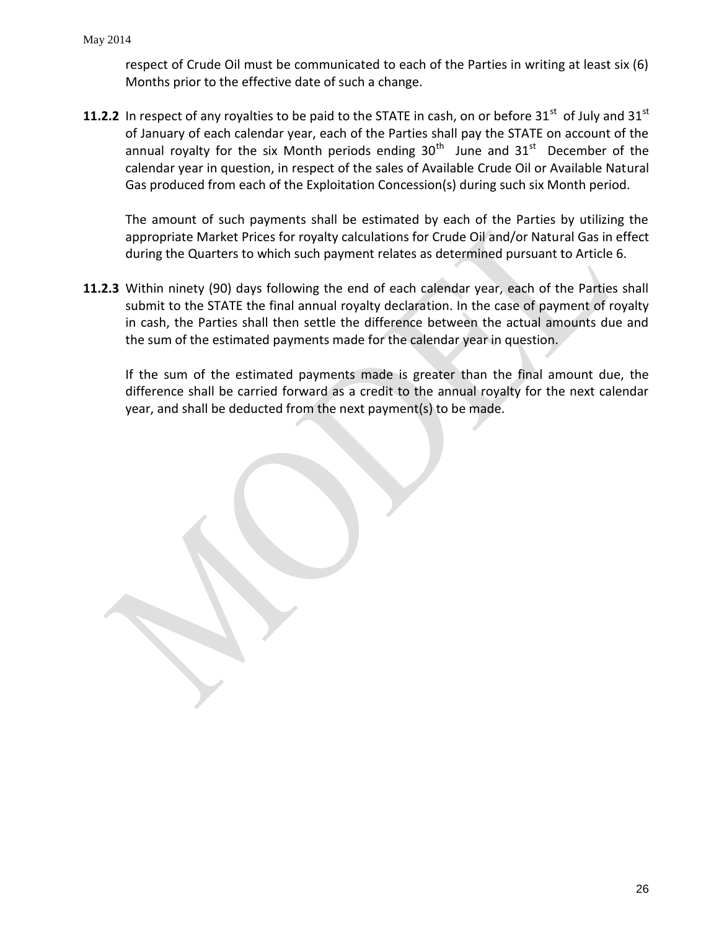respect of Crude Oil must be communicated to each of the Parties in writing at least six (6) Months prior to the effective date of such a change.

**11.2.2** In respect of any royalties to be paid to the STATE in cash, on or before 31<sup>st</sup> of July and 31<sup>st</sup> of January of each calendar year, each of the Parties shall pay the STATE on account of the annual royalty for the six Month periods ending  $30<sup>th</sup>$  June and  $31<sup>st</sup>$  December of the calendar year in question, in respect of the sales of Available Crude Oil or Available Natural Gas produced from each of the Exploitation Concession(s) during such six Month period.

The amount of such payments shall be estimated by each of the Parties by utilizing the appropriate Market Prices for royalty calculations for Crude Oil and/or Natural Gas in effect during the Quarters to which such payment relates as determined pursuant to Article 6.

**11.2.3** Within ninety (90) days following the end of each calendar year, each of the Parties shall submit to the STATE the final annual royalty declaration. In the case of payment of royalty in cash, the Parties shall then settle the difference between the actual amounts due and the sum of the estimated payments made for the calendar year in question.

If the sum of the estimated payments made is greater than the final amount due, the difference shall be carried forward as a credit to the annual royalty for the next calendar year, and shall be deducted from the next payment(s) to be made.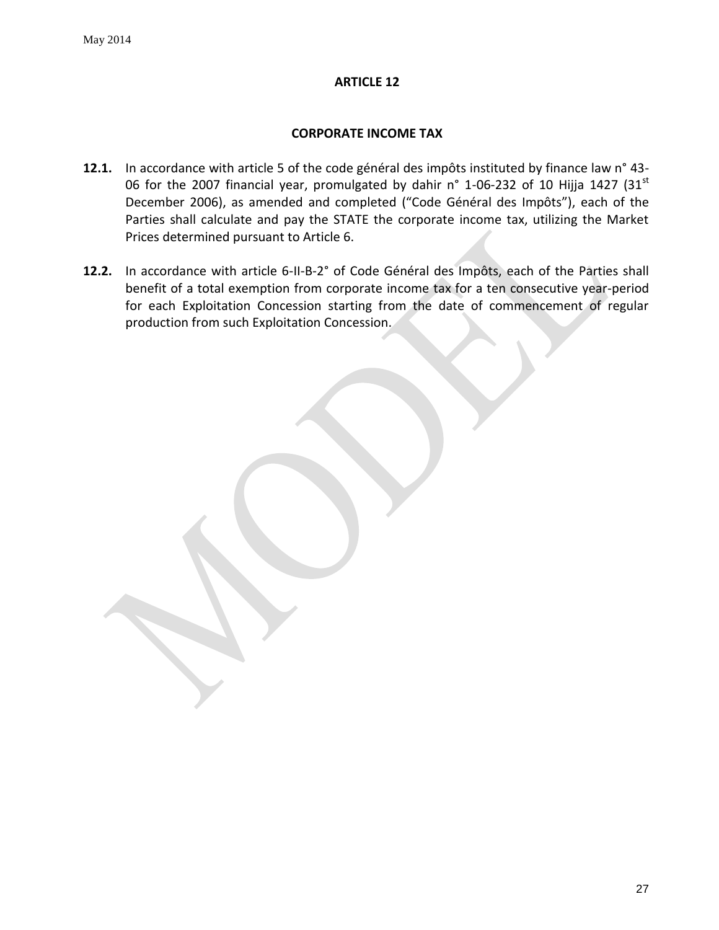### <span id="page-26-1"></span>**CORPORATE INCOME TAX**

- <span id="page-26-0"></span>**12.1.** In accordance with article 5 of the code général des impôts instituted by finance law n° 43- 06 for the 2007 financial year, promulgated by dahir n° 1-06-232 of 10 Hijja 1427 (31 $^{\rm st}$ ) December 2006), as amended and completed ("Code Général des Impôts"), each of the Parties shall calculate and pay the STATE the corporate income tax, utilizing the Market Prices determined pursuant to Article 6.
- **12.2.** In accordance with article 6-II-B-2° of Code Général des Impôts, each of the Parties shall benefit of a total exemption from corporate income tax for a ten consecutive year-period for each Exploitation Concession starting from the date of commencement of regular production from such Exploitation Concession.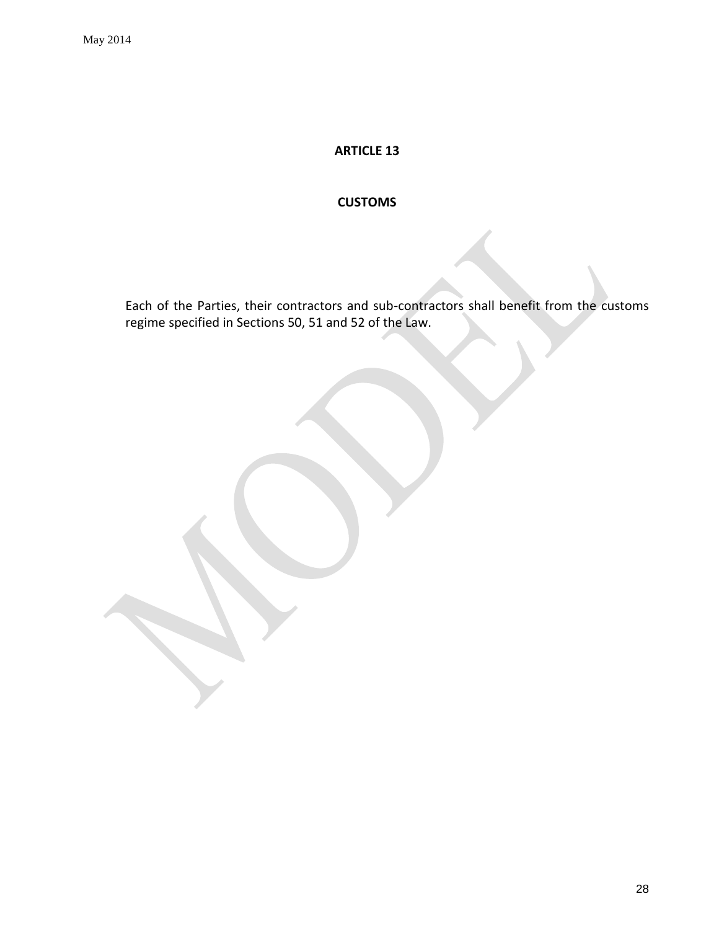# **CUSTOMS**

<span id="page-27-0"></span>Each of the Parties, their contractors and sub-contractors shall benefit from the customs regime specified in Sections 50, 51 and 52 of the Law.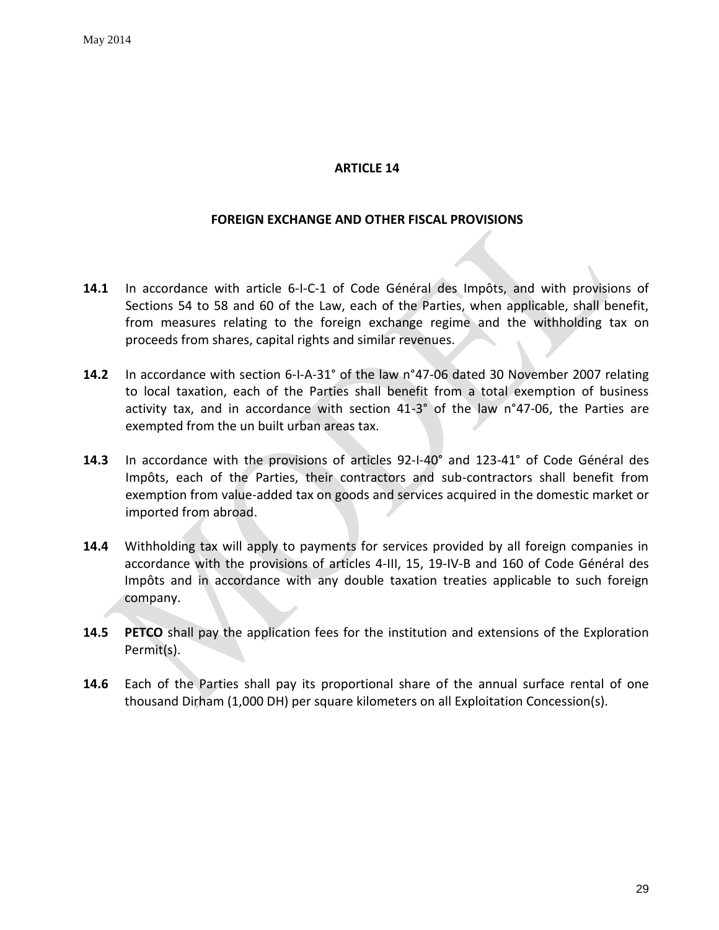### **FOREIGN EXCHANGE AND OTHER FISCAL PROVISIONS**

- <span id="page-28-0"></span>**14.1** In accordance with article 6-I-C-1 of Code Général des Impôts, and with provisions of Sections 54 to 58 and 60 of the Law, each of the Parties, when applicable, shall benefit, from measures relating to the foreign exchange regime and the withholding tax on proceeds from shares, capital rights and similar revenues.
- **14.2** In accordance with section 6-I-A-31° of the law n°47-06 dated 30 November 2007 relating to local taxation, each of the Parties shall benefit from a total exemption of business activity tax, and in accordance with section 41-3° of the law n°47-06, the Parties are exempted from the un built urban areas tax.
- **14.3** In accordance with the provisions of articles 92-I-40° and 123-41° of Code Général des Impôts, each of the Parties, their contractors and sub-contractors shall benefit from exemption from value-added tax on goods and services acquired in the domestic market or imported from abroad.
- **14.4** Withholding tax will apply to payments for services provided by all foreign companies in accordance with the provisions of articles 4-III, 15, 19-IV-B and 160 of Code Général des Impôts and in accordance with any double taxation treaties applicable to such foreign company.
- **14.5 PETCO** shall pay the application fees for the institution and extensions of the Exploration Permit(s).
- **14.6** Each of the Parties shall pay its proportional share of the annual surface rental of one thousand Dirham (1,000 DH) per square kilometers on all Exploitation Concession(s).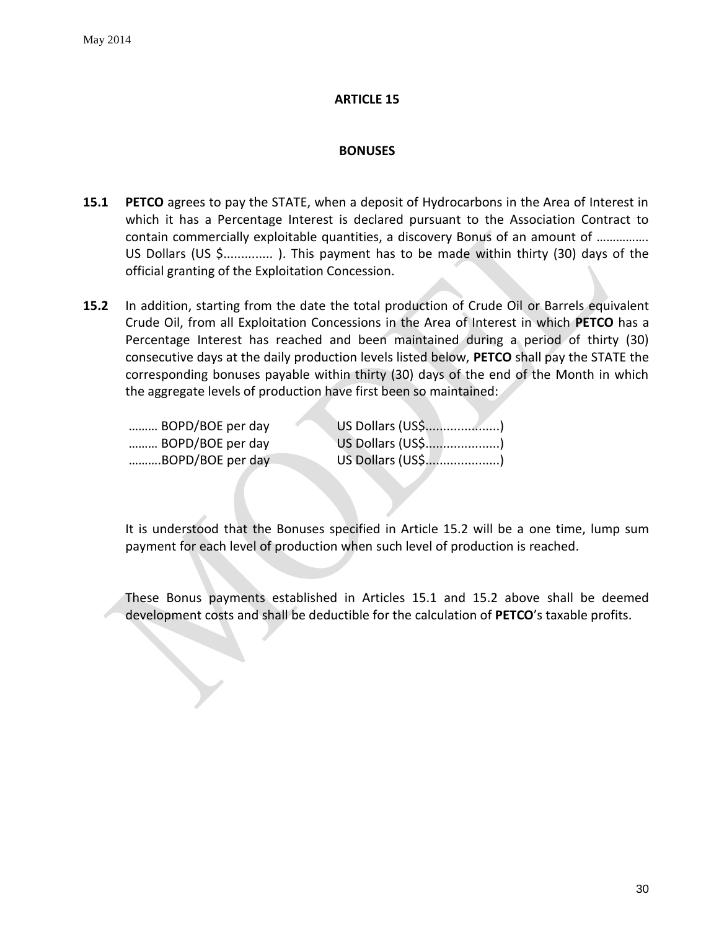### **BONUSES**

- <span id="page-29-0"></span>**15.1 PETCO** agrees to pay the STATE, when a deposit of Hydrocarbons in the Area of Interest in which it has a Percentage Interest is declared pursuant to the Association Contract to contain commercially exploitable quantities, a discovery Bonus of an amount of ……………. US Dollars (US \$.............. ). This payment has to be made within thirty (30) days of the official granting of the Exploitation Concession.
- **15.2** In addition, starting from the date the total production of Crude Oil or Barrels equivalent Crude Oil, from all Exploitation Concessions in the Area of Interest in which **PETCO** has a Percentage Interest has reached and been maintained during a period of thirty (30) consecutive days at the daily production levels listed below, **PETCO** shall pay the STATE the corresponding bonuses payable within thirty (30) days of the end of the Month in which the aggregate levels of production have first been so maintained:

| BOPD/BOE per day |                   |
|------------------|-------------------|
| BOPD/BOE per day | US Dollars (US\$) |
| BOPD/BOE per day | US Dollars (US\$) |

It is understood that the Bonuses specified in Article 15.2 will be a one time, lump sum payment for each level of production when such level of production is reached.

These Bonus payments established in Articles 15.1 and 15.2 above shall be deemed development costs and shall be deductible for the calculation of **PETCO**'s taxable profits.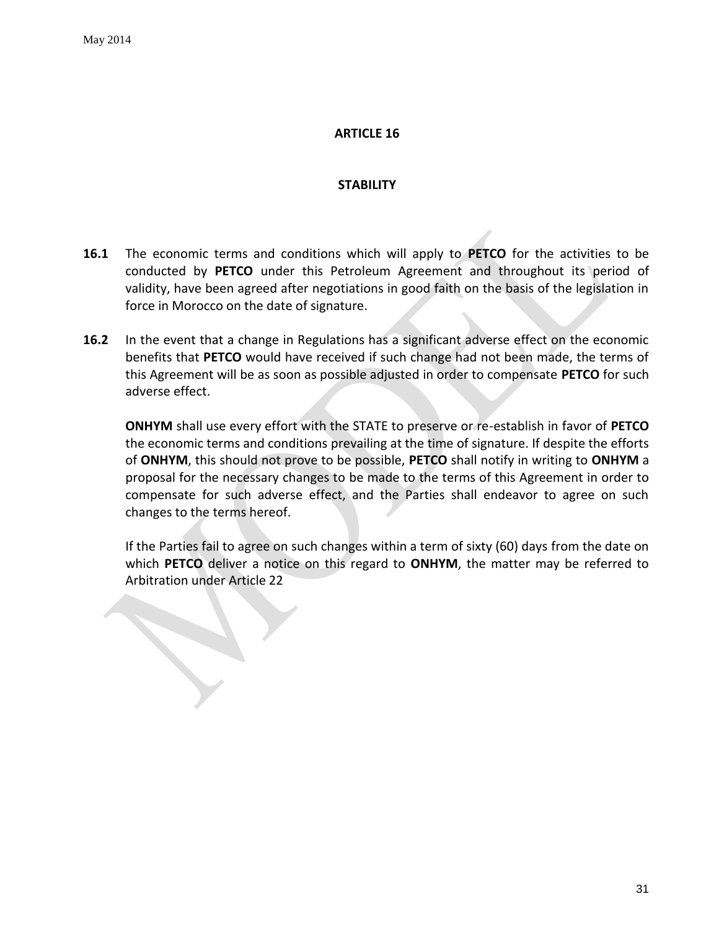### **STABILITY**

- <span id="page-30-0"></span>**16.1** The economic terms and conditions which will apply to **PETCO** for the activities to be conducted by **PETCO** under this Petroleum Agreement and throughout its period of validity, have been agreed after negotiations in good faith on the basis of the legislation in force in Morocco on the date of signature.
- **16.2** In the event that a change in Regulations has a significant adverse effect on the economic benefits that **PETCO** would have received if such change had not been made, the terms of this Agreement will be as soon as possible adjusted in order to compensate **PETCO** for such adverse effect.

**ONHYM** shall use every effort with the STATE to preserve or re-establish in favor of **PETCO** the economic terms and conditions prevailing at the time of signature. If despite the efforts of **ONHYM**, this should not prove to be possible, **PETCO** shall notify in writing to **ONHYM** a proposal for the necessary changes to be made to the terms of this Agreement in order to compensate for such adverse effect, and the Parties shall endeavor to agree on such changes to the terms hereof.

If the Parties fail to agree on such changes within a term of sixty (60) days from the date on which **PETCO** deliver a notice on this regard to **ONHYM**, the matter may be referred to Arbitration under Article 22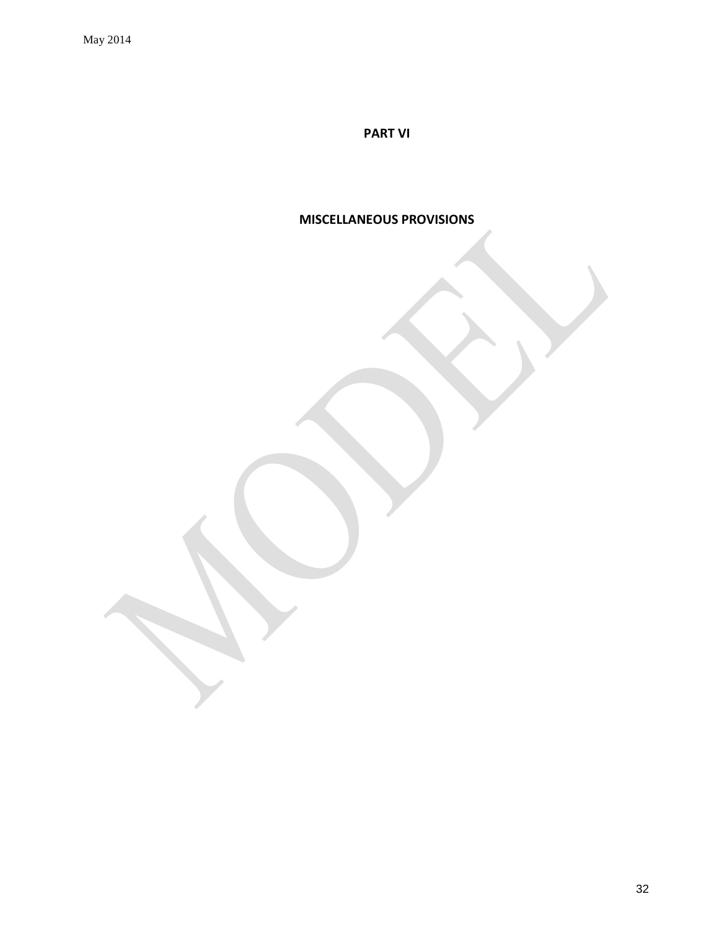**PART VI**

**MISCELLANEOUS PROVISIONS**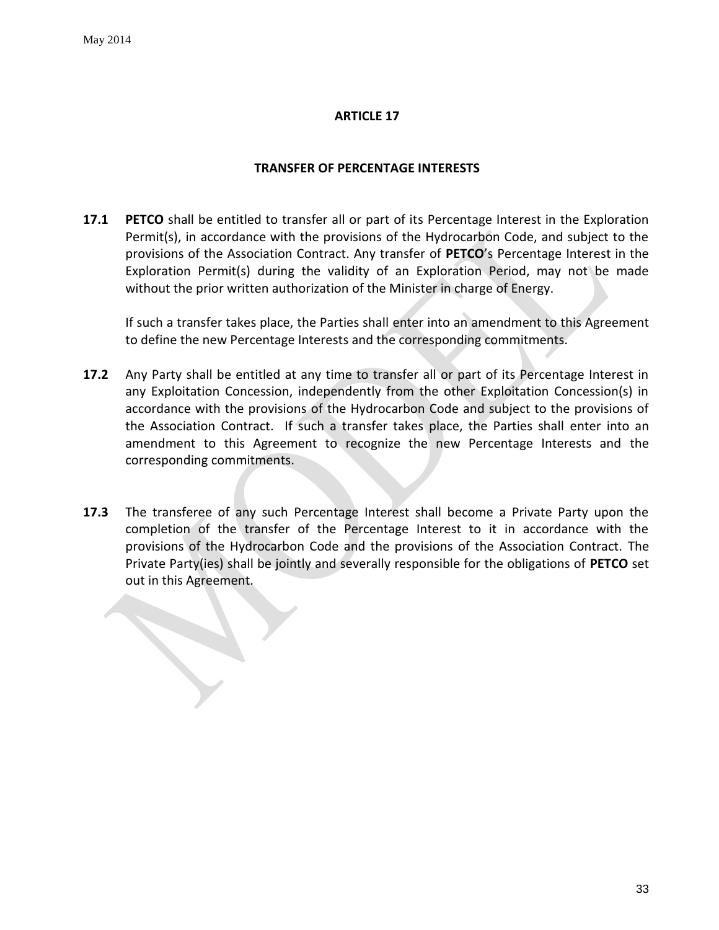# **TRANSFER OF PERCENTAGE INTERESTS**

<span id="page-32-0"></span>**17.1 PETCO** shall be entitled to transfer all or part of its Percentage Interest in the Exploration Permit(s), in accordance with the provisions of the Hydrocarbon Code, and subject to the provisions of the Association Contract. Any transfer of **PETCO**'s Percentage Interest in the Exploration Permit(s) during the validity of an Exploration Period, may not be made without the prior written authorization of the Minister in charge of Energy.

If such a transfer takes place, the Parties shall enter into an amendment to this Agreement to define the new Percentage Interests and the corresponding commitments.

- **17.2** Any Party shall be entitled at any time to transfer all or part of its Percentage Interest in any Exploitation Concession, independently from the other Exploitation Concession(s) in accordance with the provisions of the Hydrocarbon Code and subject to the provisions of the Association Contract. If such a transfer takes place, the Parties shall enter into an amendment to this Agreement to recognize the new Percentage Interests and the corresponding commitments.
- **17.3** The transferee of any such Percentage Interest shall become a Private Party upon the completion of the transfer of the Percentage Interest to it in accordance with the provisions of the Hydrocarbon Code and the provisions of the Association Contract. The Private Party(ies) shall be jointly and severally responsible for the obligations of **PETCO** set out in this Agreement.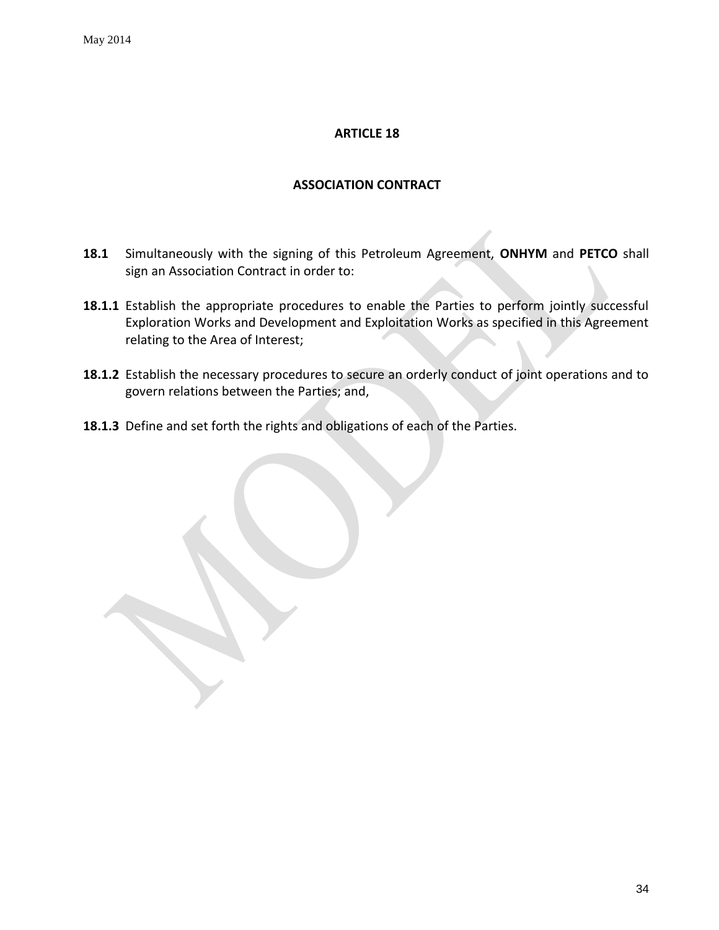### **ASSOCIATION CONTRACT**

- <span id="page-33-0"></span>**18.1** Simultaneously with the signing of this Petroleum Agreement, **ONHYM** and **PETCO** shall sign an Association Contract in order to:
- 18.1.1 Establish the appropriate procedures to enable the Parties to perform jointly successful Exploration Works and Development and Exploitation Works as specified in this Agreement relating to the Area of Interest;
- **18.1.2** Establish the necessary procedures to secure an orderly conduct of joint operations and to govern relations between the Parties; and,
- **18.1.3** Define and set forth the rights and obligations of each of the Parties.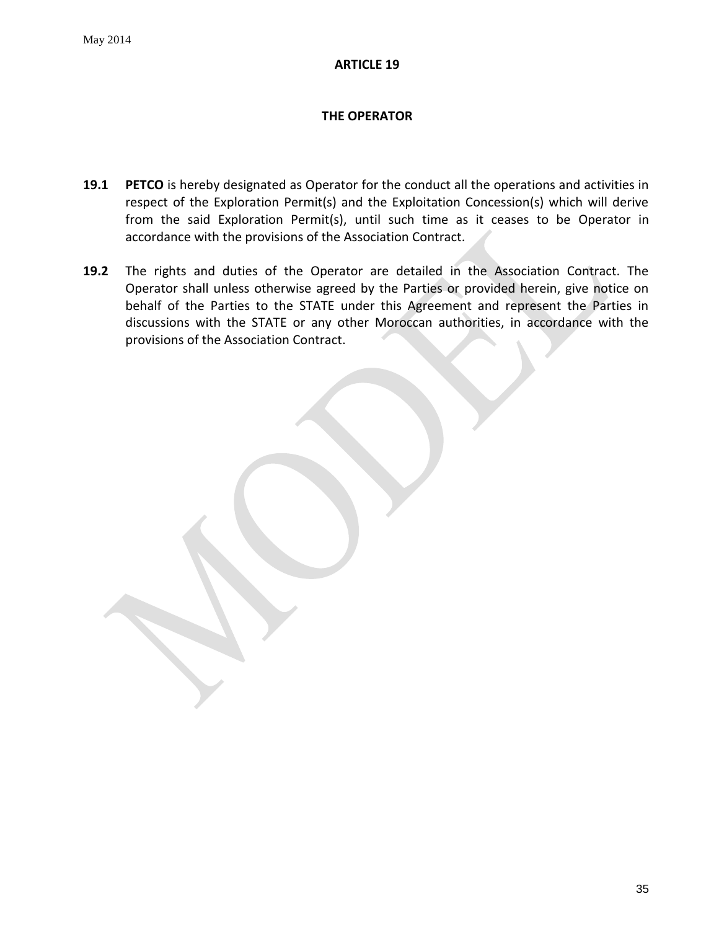# **THE OPERATOR**

- <span id="page-34-0"></span>**19.1 PETCO** is hereby designated as Operator for the conduct all the operations and activities in respect of the Exploration Permit(s) and the Exploitation Concession(s) which will derive from the said Exploration Permit(s), until such time as it ceases to be Operator in accordance with the provisions of the Association Contract.
- **19.2** The rights and duties of the Operator are detailed in the Association Contract. The Operator shall unless otherwise agreed by the Parties or provided herein, give notice on behalf of the Parties to the STATE under this Agreement and represent the Parties in discussions with the STATE or any other Moroccan authorities, in accordance with the provisions of the Association Contract.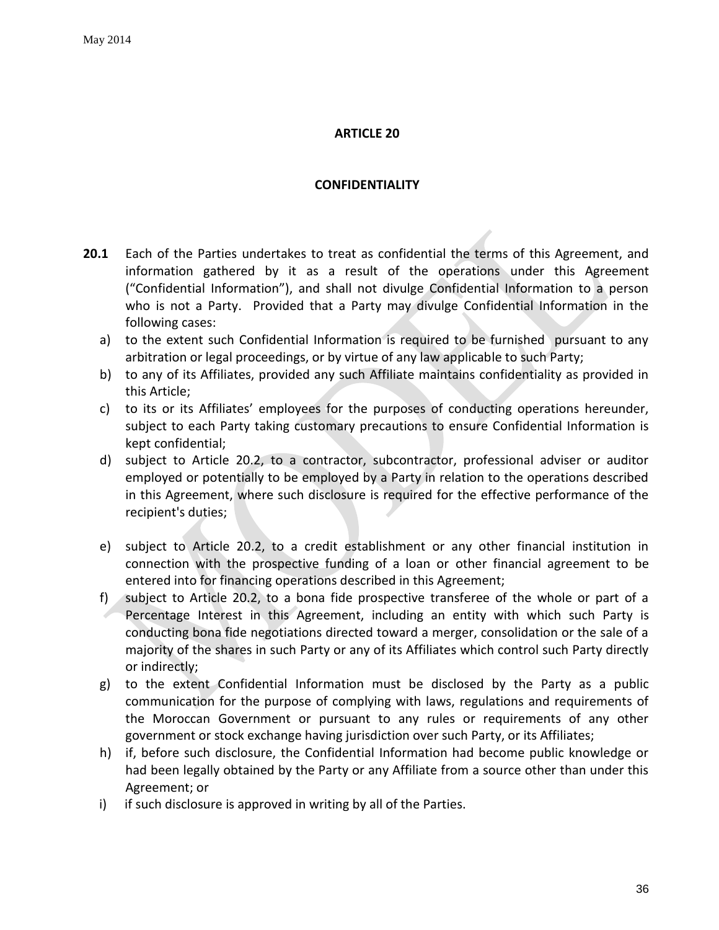### **CONFIDENTIALITY**

- <span id="page-35-0"></span>**20.1** Each of the Parties undertakes to treat as confidential the terms of this Agreement, and information gathered by it as a result of the operations under this Agreement ("Confidential Information"), and shall not divulge Confidential Information to a person who is not a Party. Provided that a Party may divulge Confidential Information in the following cases:
	- a) to the extent such Confidential Information is required to be furnished pursuant to any arbitration or legal proceedings, or by virtue of any law applicable to such Party;
	- b) to any of its Affiliates, provided any such Affiliate maintains confidentiality as provided in this Article;
	- c) to its or its Affiliates' employees for the purposes of conducting operations hereunder, subject to each Party taking customary precautions to ensure Confidential Information is kept confidential;
	- d) subject to Article 20.2, to a contractor, subcontractor, professional adviser or auditor employed or potentially to be employed by a Party in relation to the operations described in this Agreement, where such disclosure is required for the effective performance of the recipient's duties;
	- e) subject to Article 20.2, to a credit establishment or any other financial institution in connection with the prospective funding of a loan or other financial agreement to be entered into for financing operations described in this Agreement;
	- f) subject to Article 20.2, to a bona fide prospective transferee of the whole or part of a Percentage Interest in this Agreement, including an entity with which such Party is conducting bona fide negotiations directed toward a merger, consolidation or the sale of a majority of the shares in such Party or any of its Affiliates which control such Party directly or indirectly;
	- g) to the extent Confidential Information must be disclosed by the Party as a public communication for the purpose of complying with laws, regulations and requirements of the Moroccan Government or pursuant to any rules or requirements of any other government or stock exchange having jurisdiction over such Party, or its Affiliates;
	- h) if, before such disclosure, the Confidential Information had become public knowledge or had been legally obtained by the Party or any Affiliate from a source other than under this Agreement; or
	- i) if such disclosure is approved in writing by all of the Parties.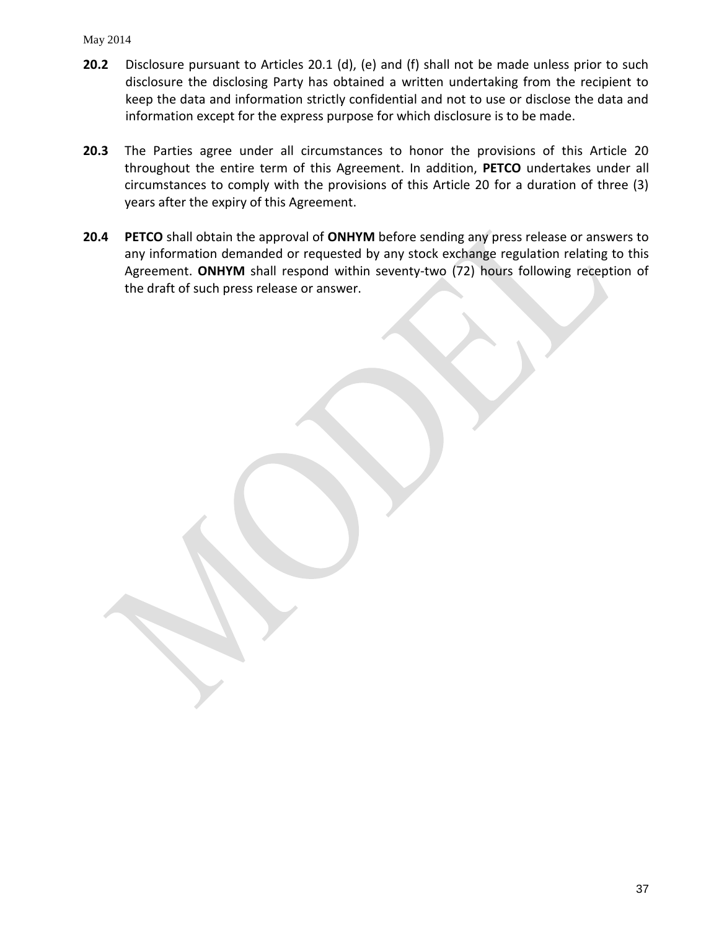#### May 2014

- **20.2** Disclosure pursuant to Articles 20.1 (d), (e) and (f) shall not be made unless prior to such disclosure the disclosing Party has obtained a written undertaking from the recipient to keep the data and information strictly confidential and not to use or disclose the data and information except for the express purpose for which disclosure is to be made.
- **20.3** The Parties agree under all circumstances to honor the provisions of this Article 20 throughout the entire term of this Agreement. In addition, **PETCO** undertakes under all circumstances to comply with the provisions of this Article 20 for a duration of three (3) years after the expiry of this Agreement.
- **20.4 PETCO** shall obtain the approval of **ONHYM** before sending any press release or answers to any information demanded or requested by any stock exchange regulation relating to this Agreement. **ONHYM** shall respond within seventy-two (72) hours following reception of the draft of such press release or answer.

37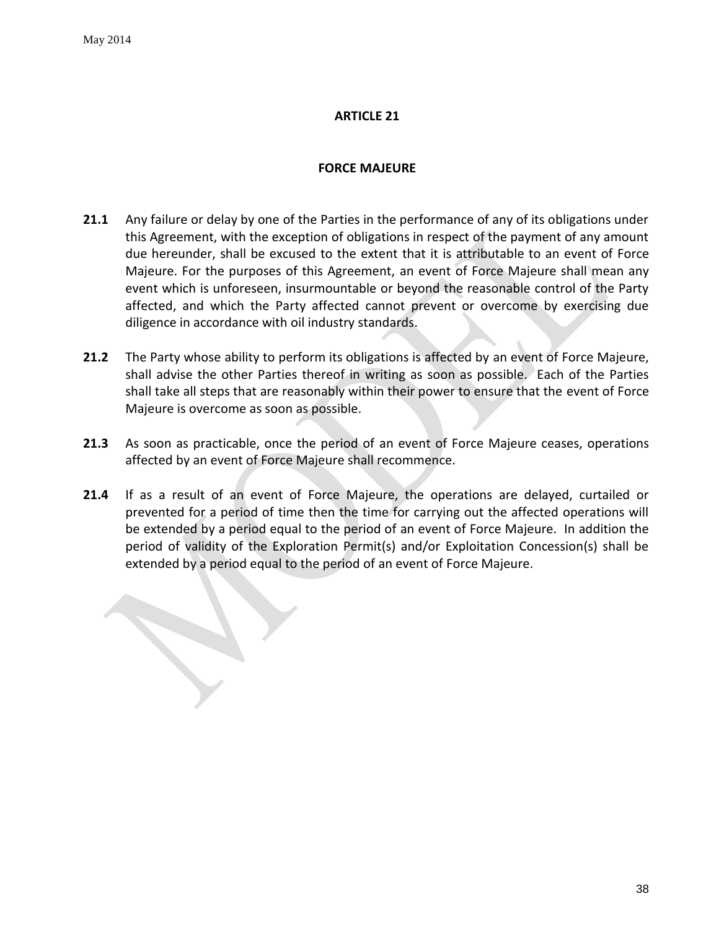### **FORCE MAJEURE**

- <span id="page-37-0"></span>**21.1** Any failure or delay by one of the Parties in the performance of any of its obligations under this Agreement, with the exception of obligations in respect of the payment of any amount due hereunder, shall be excused to the extent that it is attributable to an event of Force Majeure. For the purposes of this Agreement, an event of Force Majeure shall mean any event which is unforeseen, insurmountable or beyond the reasonable control of the Party affected, and which the Party affected cannot prevent or overcome by exercising due diligence in accordance with oil industry standards.
- **21.2** The Party whose ability to perform its obligations is affected by an event of Force Majeure, shall advise the other Parties thereof in writing as soon as possible. Each of the Parties shall take all steps that are reasonably within their power to ensure that the event of Force Majeure is overcome as soon as possible.
- **21.3** As soon as practicable, once the period of an event of Force Majeure ceases, operations affected by an event of Force Majeure shall recommence.
- **21.4** If as a result of an event of Force Majeure, the operations are delayed, curtailed or prevented for a period of time then the time for carrying out the affected operations will be extended by a period equal to the period of an event of Force Majeure. In addition the period of validity of the Exploration Permit(s) and/or Exploitation Concession(s) shall be extended by a period equal to the period of an event of Force Majeure.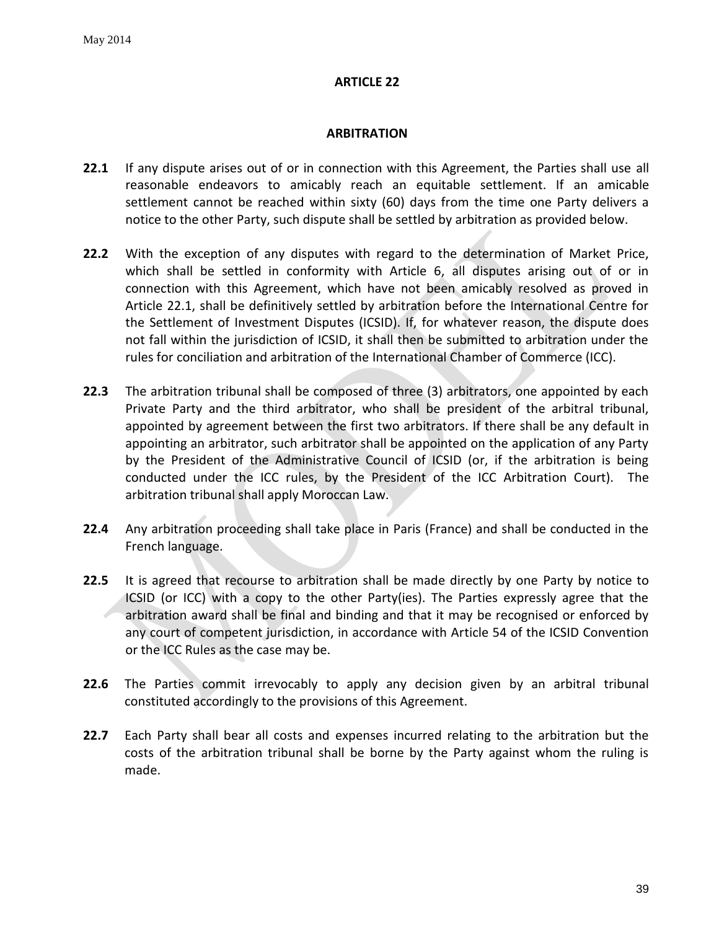### **ARBITRATION**

- <span id="page-38-0"></span>**22.1** If any dispute arises out of or in connection with this Agreement, the Parties shall use all reasonable endeavors to amicably reach an equitable settlement. If an amicable settlement cannot be reached within sixty (60) days from the time one Party delivers a notice to the other Party, such dispute shall be settled by arbitration as provided below.
- **22.2** With the exception of any disputes with regard to the determination of Market Price, which shall be settled in conformity with Article 6, all disputes arising out of or in connection with this Agreement, which have not been amicably resolved as proved in Article 22.1, shall be definitively settled by arbitration before the International Centre for the Settlement of Investment Disputes (ICSID). If, for whatever reason, the dispute does not fall within the jurisdiction of ICSID, it shall then be submitted to arbitration under the rules for conciliation and arbitration of the International Chamber of Commerce (ICC).
- **22.3** The arbitration tribunal shall be composed of three (3) arbitrators, one appointed by each Private Party and the third arbitrator, who shall be president of the arbitral tribunal, appointed by agreement between the first two arbitrators. If there shall be any default in appointing an arbitrator, such arbitrator shall be appointed on the application of any Party by the President of the Administrative Council of ICSID (or, if the arbitration is being conducted under the ICC rules, by the President of the ICC Arbitration Court). The arbitration tribunal shall apply Moroccan Law.
- **22.4** Any arbitration proceeding shall take place in Paris (France) and shall be conducted in the French language.
- **22.5** It is agreed that recourse to arbitration shall be made directly by one Party by notice to ICSID (or ICC) with a copy to the other Party(ies). The Parties expressly agree that the arbitration award shall be final and binding and that it may be recognised or enforced by any court of competent jurisdiction, in accordance with Article 54 of the ICSID Convention or the ICC Rules as the case may be.
- **22.6** The Parties commit irrevocably to apply any decision given by an arbitral tribunal constituted accordingly to the provisions of this Agreement.
- **22.7** Each Party shall bear all costs and expenses incurred relating to the arbitration but the costs of the arbitration tribunal shall be borne by the Party against whom the ruling is made.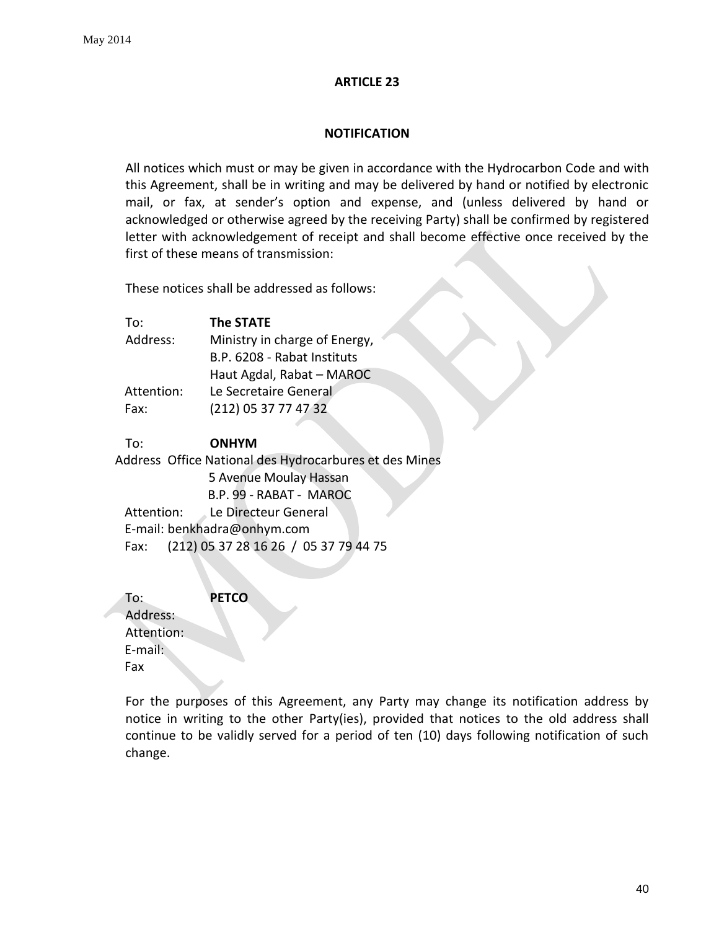#### **NOTIFICATION**

<span id="page-39-0"></span>All notices which must or may be given in accordance with the Hydrocarbon Code and with this Agreement, shall be in writing and may be delivered by hand or notified by electronic mail, or fax, at sender's option and expense, and (unless delivered by hand or acknowledged or otherwise agreed by the receiving Party) shall be confirmed by registered letter with acknowledgement of receipt and shall become effective once received by the first of these means of transmission:

These notices shall be addressed as follows:

| <b>The STATE</b>              |
|-------------------------------|
| Ministry in charge of Energy, |
| B.P. 6208 - Rabat Instituts   |
| Haut Agdal, Rabat - MAROC     |
| Le Secretaire General         |
| (212) 05 37 77 47 32          |
|                               |

### To: **ONHYM**

 Address Office National des Hydrocarbures et des Mines 5 Avenue Moulay Hassan B.P. 99 - RABAT - MAROC Attention: Le Directeur General E-mail: benkhadra@onhym.com Fax: (212) 05 37 28 16 26 / 05 37 79 44 75

To: **PETCO**  Address: Attention: E-mail: Fax

For the purposes of this Agreement, any Party may change its notification address by notice in writing to the other Party(ies), provided that notices to the old address shall continue to be validly served for a period of ten (10) days following notification of such change.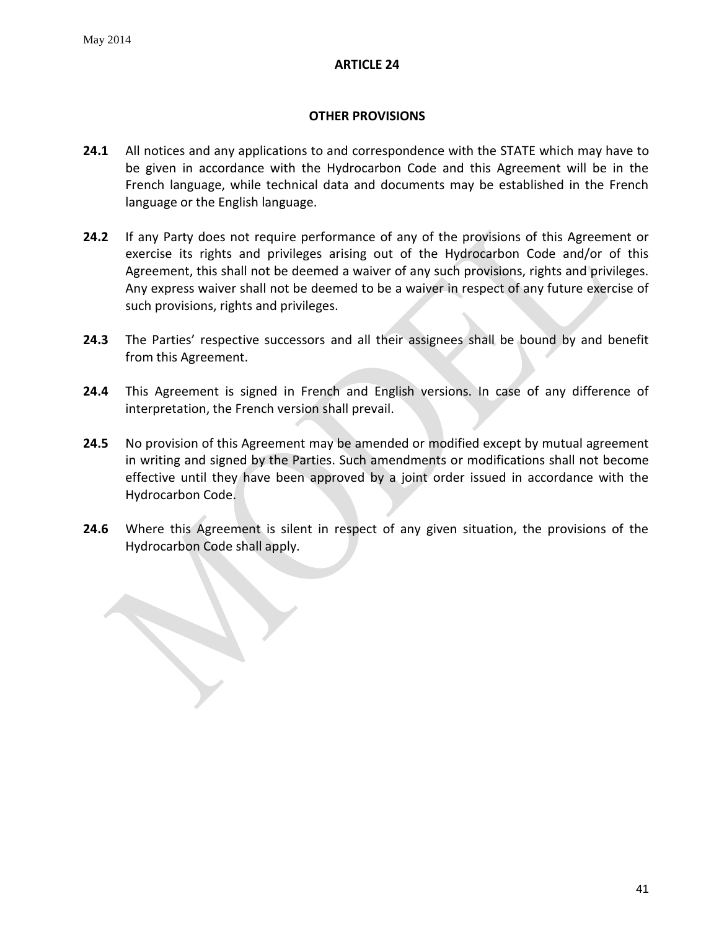# **OTHER PROVISIONS**

- <span id="page-40-0"></span>**24.1** All notices and any applications to and correspondence with the STATE which may have to be given in accordance with the Hydrocarbon Code and this Agreement will be in the French language, while technical data and documents may be established in the French language or the English language.
- **24.2** If any Party does not require performance of any of the provisions of this Agreement or exercise its rights and privileges arising out of the Hydrocarbon Code and/or of this Agreement, this shall not be deemed a waiver of any such provisions, rights and privileges. Any express waiver shall not be deemed to be a waiver in respect of any future exercise of such provisions, rights and privileges.
- **24.3** The Parties' respective successors and all their assignees shall be bound by and benefit from this Agreement.
- **24.4** This Agreement is signed in French and English versions. In case of any difference of interpretation, the French version shall prevail.
- **24.5** No provision of this Agreement may be amended or modified except by mutual agreement in writing and signed by the Parties. Such amendments or modifications shall not become effective until they have been approved by a joint order issued in accordance with the Hydrocarbon Code.
- **24.6** Where this Agreement is silent in respect of any given situation, the provisions of the Hydrocarbon Code shall apply.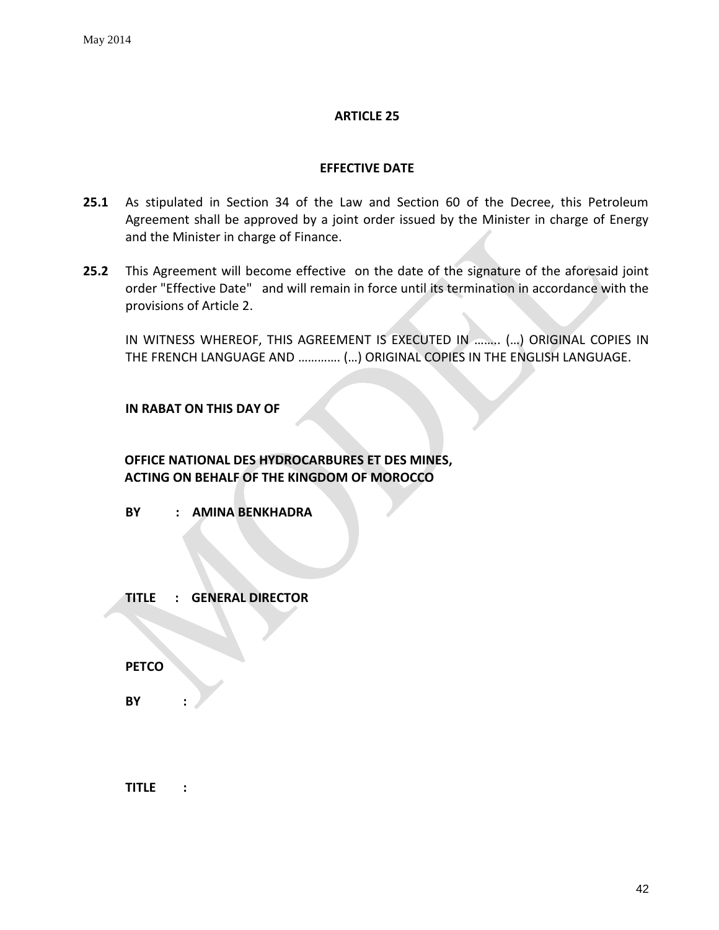### **EFFECTIVE DATE**

- <span id="page-41-0"></span>**25.1** As stipulated in Section 34 of the Law and Section 60 of the Decree, this Petroleum Agreement shall be approved by a joint order issued by the Minister in charge of Energy and the Minister in charge of Finance.
- **25.2** This Agreement will become effective on the date of the signature of the aforesaid joint order "Effective Date" and will remain in force until its termination in accordance with the provisions of Article 2.

IN WITNESS WHEREOF, THIS AGREEMENT IS EXECUTED IN …….. (…) ORIGINAL COPIES IN THE FRENCH LANGUAGE AND …………. (…) ORIGINAL COPIES IN THE ENGLISH LANGUAGE.

### **IN RABAT ON THIS DAY OF**

**OFFICE NATIONAL DES HYDROCARBURES ET DES MINES, ACTING ON BEHALF OF THE KINGDOM OF MOROCCO**

**BY : AMINA BENKHADRA**

**TITLE : GENERAL DIRECTOR**

**PETCO** 

**BY :** 

**TITLE :**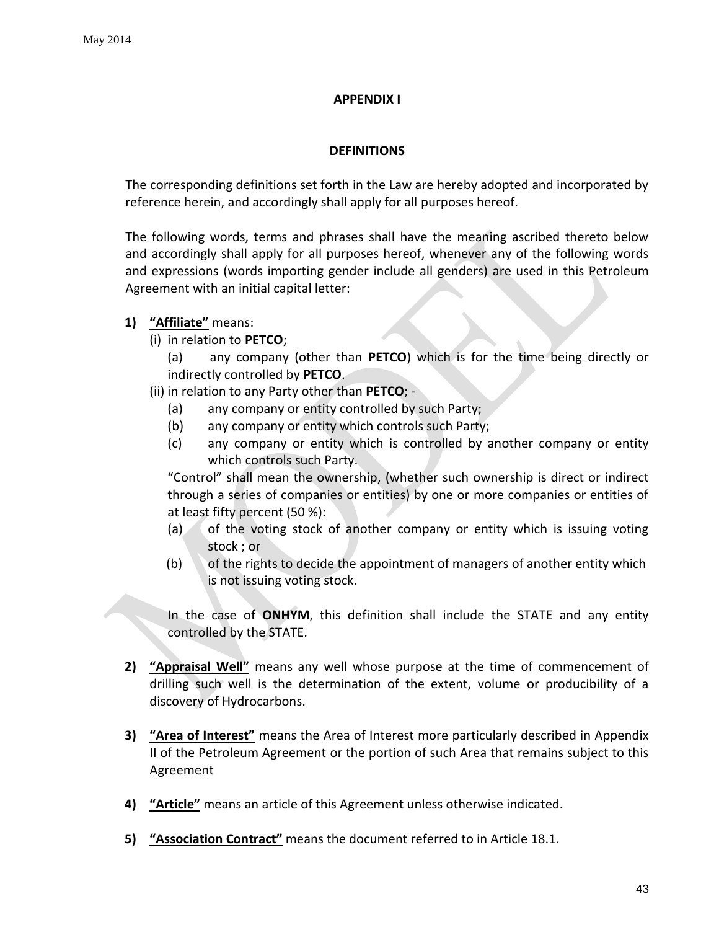# **APPENDIX I**

# **DEFINITIONS**

<span id="page-42-0"></span>The corresponding definitions set forth in the Law are hereby adopted and incorporated by reference herein, and accordingly shall apply for all purposes hereof.

The following words, terms and phrases shall have the meaning ascribed thereto below and accordingly shall apply for all purposes hereof, whenever any of the following words and expressions (words importing gender include all genders) are used in this Petroleum Agreement with an initial capital letter:

# **1) "Affiliate"** means:

(i) in relation to **PETCO**;

(a) any company (other than **PETCO**) which is for the time being directly or indirectly controlled by **PETCO**.

- (ii) in relation to any Party other than **PETCO**;
	- (a) any company or entity controlled by such Party;
	- (b) any company or entity which controls such Party;
	- (c) any company or entity which is controlled by another company or entity which controls such Party.

"Control" shall mean the ownership, (whether such ownership is direct or indirect through a series of companies or entities) by one or more companies or entities of at least fifty percent (50 %):

- $(a)$  of the voting stock of another company or entity which is issuing voting stock ; or
- (b) of the rights to decide the appointment of managers of another entity which is not issuing voting stock.

In the case of **ONHYM**, this definition shall include the STATE and any entity controlled by the STATE.

- **2) "Appraisal Well"** means any well whose purpose at the time of commencement of drilling such well is the determination of the extent, volume or producibility of a discovery of Hydrocarbons.
- **3) "Area of Interest"** means the Area of Interest more particularly described in Appendix II of the Petroleum Agreement or the portion of such Area that remains subject to this Agreement
- **4) "Article"** means an article of this Agreement unless otherwise indicated.
- **5) "Association Contract"** means the document referred to in Article 18.1.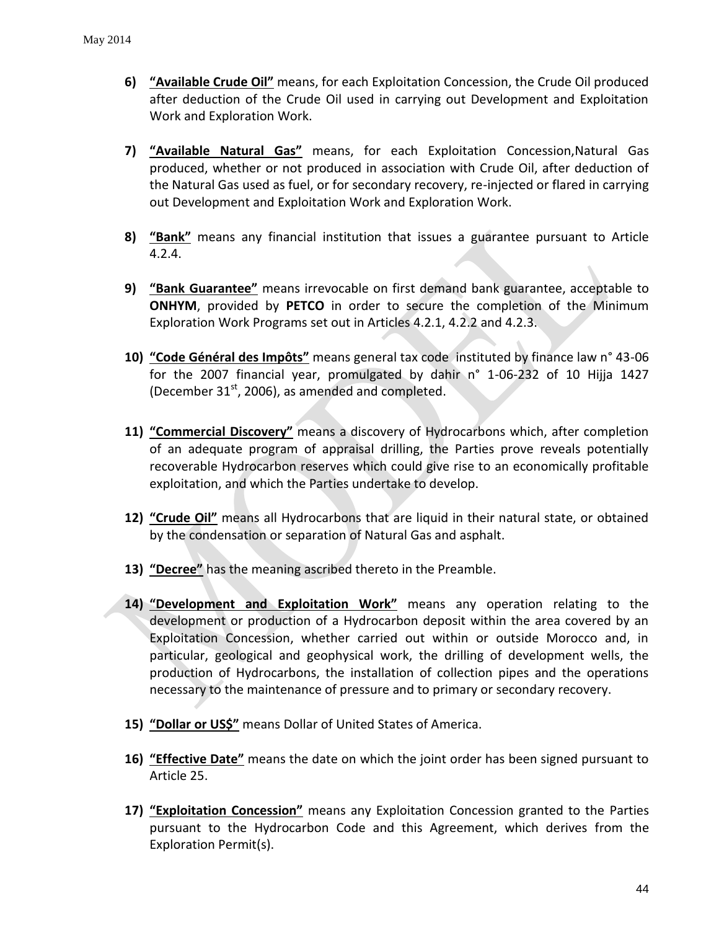- **6) "Available Crude Oil"** means, for each Exploitation Concession, the Crude Oil produced after deduction of the Crude Oil used in carrying out Development and Exploitation Work and Exploration Work.
- **7) "Available Natural Gas"** means, for each Exploitation Concession,Natural Gas produced, whether or not produced in association with Crude Oil, after deduction of the Natural Gas used as fuel, or for secondary recovery, re-injected or flared in carrying out Development and Exploitation Work and Exploration Work.
- **8) "Bank"** means any financial institution that issues a guarantee pursuant to Article 4.2.4.
- **9) "Bank Guarantee"** means irrevocable on first demand bank guarantee, acceptable to **ONHYM**, provided by **PETCO** in order to secure the completion of the Minimum Exploration Work Programs set out in Articles 4.2.1, 4.2.2 and 4.2.3.
- **10) "Code Général des Impôts"** means general tax code instituted by finance law n° 43-06 for the 2007 financial year, promulgated by dahir n° 1-06-232 of 10 Hijja 1427 (December  $31<sup>st</sup>$ , 2006), as amended and completed.
- **11) "Commercial Discovery"** means a discovery of Hydrocarbons which, after completion of an adequate program of appraisal drilling, the Parties prove reveals potentially recoverable Hydrocarbon reserves which could give rise to an economically profitable exploitation, and which the Parties undertake to develop.
- **12) "Crude Oil"** means all Hydrocarbons that are liquid in their natural state, or obtained by the condensation or separation of Natural Gas and asphalt.
- **13) "Decree"** has the meaning ascribed thereto in the Preamble.
- **14) "Development and Exploitation Work"** means any operation relating to the development or production of a Hydrocarbon deposit within the area covered by an Exploitation Concession, whether carried out within or outside Morocco and, in particular, geological and geophysical work, the drilling of development wells, the production of Hydrocarbons, the installation of collection pipes and the operations necessary to the maintenance of pressure and to primary or secondary recovery.
- **15) "Dollar or US\$"** means Dollar of United States of America.
- **16) "Effective Date"** means the date on which the joint order has been signed pursuant to Article 25.
- **17) "Exploitation Concession"** means any Exploitation Concession granted to the Parties pursuant to the Hydrocarbon Code and this Agreement, which derives from the Exploration Permit(s).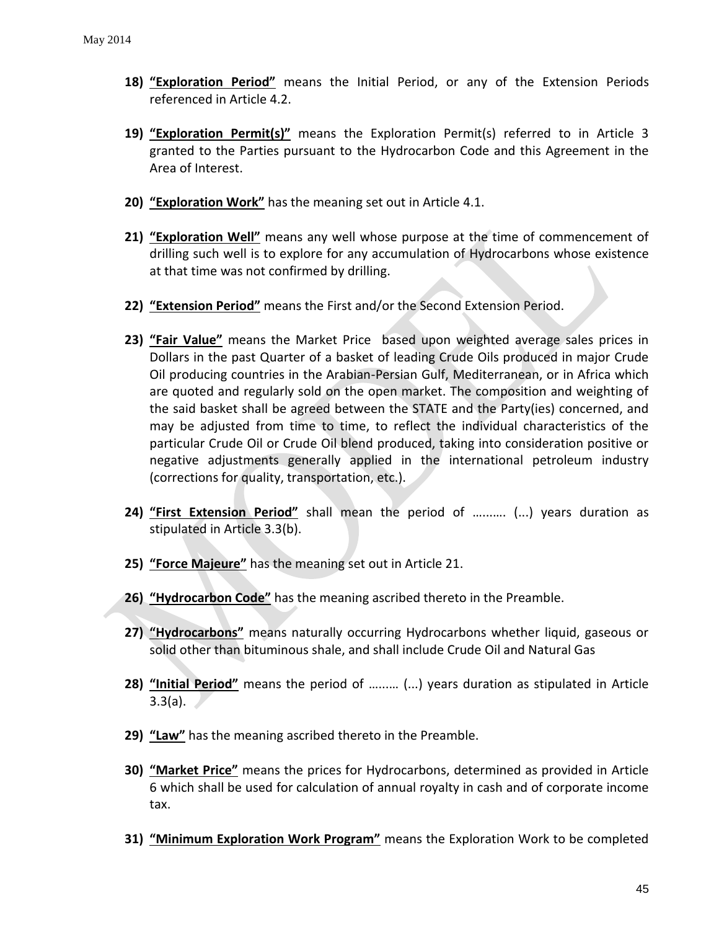- **18) "Exploration Period"** means the Initial Period, or any of the Extension Periods referenced in Article 4.2.
- **19) "Exploration Permit(s)"** means the Exploration Permit(s) referred to in Article 3 granted to the Parties pursuant to the Hydrocarbon Code and this Agreement in the Area of Interest.
- **20) "Exploration Work"** has the meaning set out in Article 4.1.
- **21) "Exploration Well"** means any well whose purpose at the time of commencement of drilling such well is to explore for any accumulation of Hydrocarbons whose existence at that time was not confirmed by drilling.
- **22) "Extension Period"** means the First and/or the Second Extension Period.
- **23) "Fair Value"** means the Market Price based upon weighted average sales prices in Dollars in the past Quarter of a basket of leading Crude Oils produced in major Crude Oil producing countries in the Arabian-Persian Gulf, Mediterranean, or in Africa which are quoted and regularly sold on the open market. The composition and weighting of the said basket shall be agreed between the STATE and the Party(ies) concerned, and may be adjusted from time to time, to reflect the individual characteristics of the particular Crude Oil or Crude Oil blend produced, taking into consideration positive or negative adjustments generally applied in the international petroleum industry (corrections for quality, transportation, etc.).
- **24) "First Extension Period"** shall mean the period of …...…. (...) years duration as stipulated in Article 3.3(b).
- **25) "Force Majeure"** has the meaning set out in Article 21.
- **26) "Hydrocarbon Code"** has the meaning ascribed thereto in the Preamble.
- **27) "Hydrocarbons"** means naturally occurring Hydrocarbons whether liquid, gaseous or solid other than bituminous shale, and shall include Crude Oil and Natural Gas
- **28) "Initial Period"** means the period of …...… (...) years duration as stipulated in Article  $3.3(a)$ .
- **29) "Law"** has the meaning ascribed thereto in the Preamble.
- **30) "Market Price"** means the prices for Hydrocarbons, determined as provided in Article 6 which shall be used for calculation of annual royalty in cash and of corporate income tax.
- **31) "Minimum Exploration Work Program"** means the Exploration Work to be completed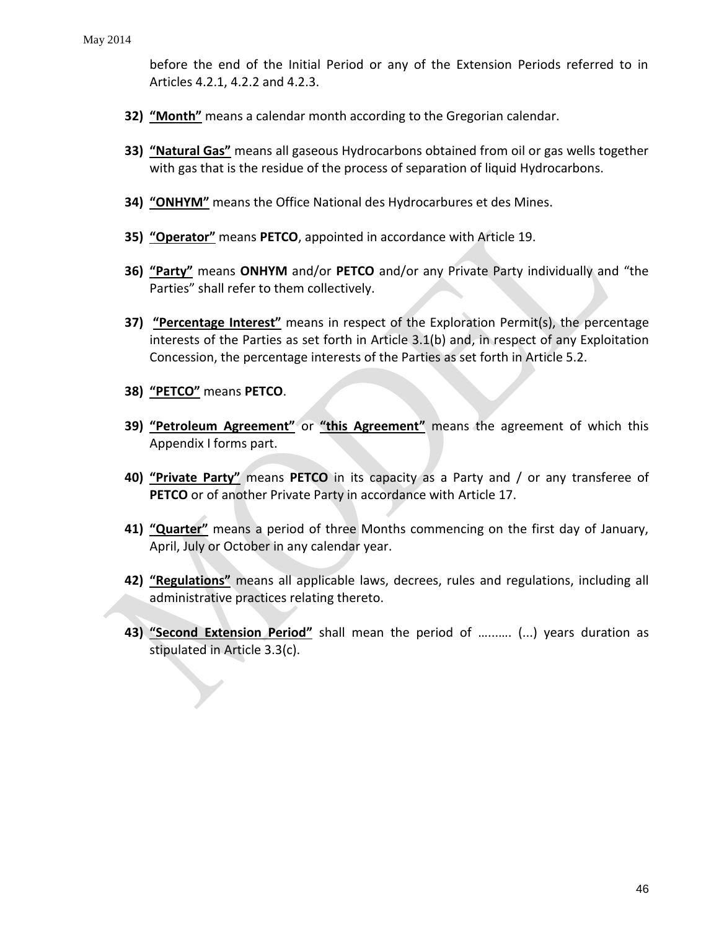before the end of the Initial Period or any of the Extension Periods referred to in Articles 4.2.1, 4.2.2 and 4.2.3.

- **32) "Month"** means a calendar month according to the Gregorian calendar.
- **33) "Natural Gas"** means all gaseous Hydrocarbons obtained from oil or gas wells together with gas that is the residue of the process of separation of liquid Hydrocarbons.
- **34) "ONHYM"** means the Office National des Hydrocarbures et des Mines.
- **35) "Operator"** means **PETCO**, appointed in accordance with Article 19.
- **36) "Party"** means **ONHYM** and/or **PETCO** and/or any Private Party individually and "the Parties" shall refer to them collectively.
- **37) "Percentage Interest"** means in respect of the Exploration Permit(s), the percentage interests of the Parties as set forth in Article 3.1(b) and, in respect of any Exploitation Concession, the percentage interests of the Parties as set forth in Article 5.2.
- **38) "PETCO"** means **PETCO**.
- **39) "Petroleum Agreement"** or **"this Agreement"** means the agreement of which this Appendix I forms part.
- **40) "Private Party"** means **PETCO** in its capacity as a Party and / or any transferee of **PETCO** or of another Private Party in accordance with Article 17.
- **41) "Quarter"** means a period of three Months commencing on the first day of January, April, July or October in any calendar year.
- **42) "Regulations"** means all applicable laws, decrees, rules and regulations, including all administrative practices relating thereto.
- **43) "Second Extension Period"** shall mean the period of …...…. (...) years duration as stipulated in Article 3.3(c).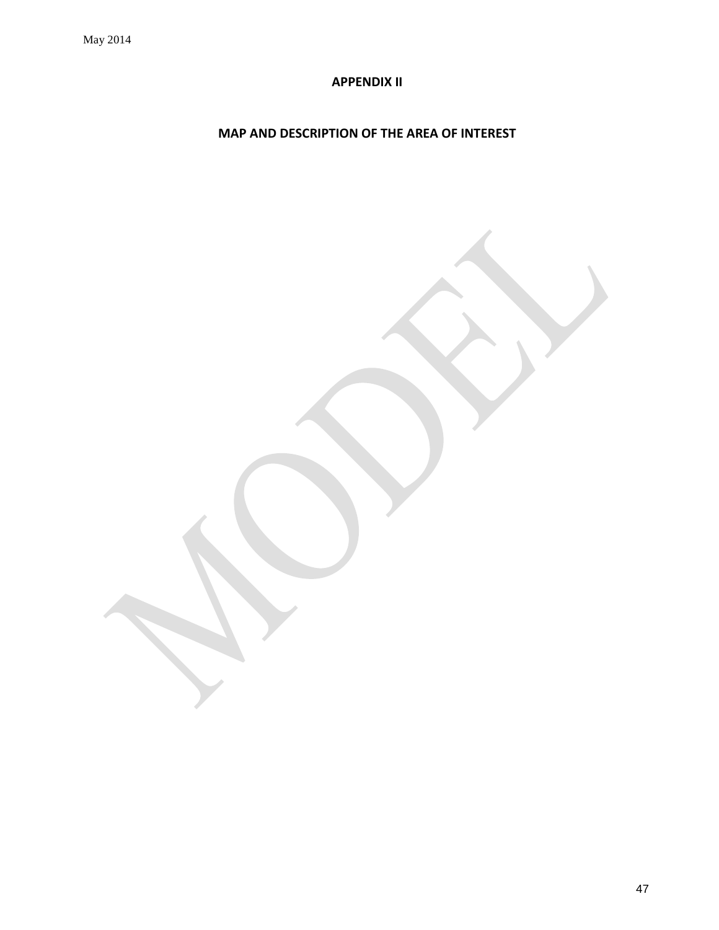# **APPENDIX II**

# <span id="page-46-0"></span>**MAP AND DESCRIPTION OF THE AREA OF INTEREST**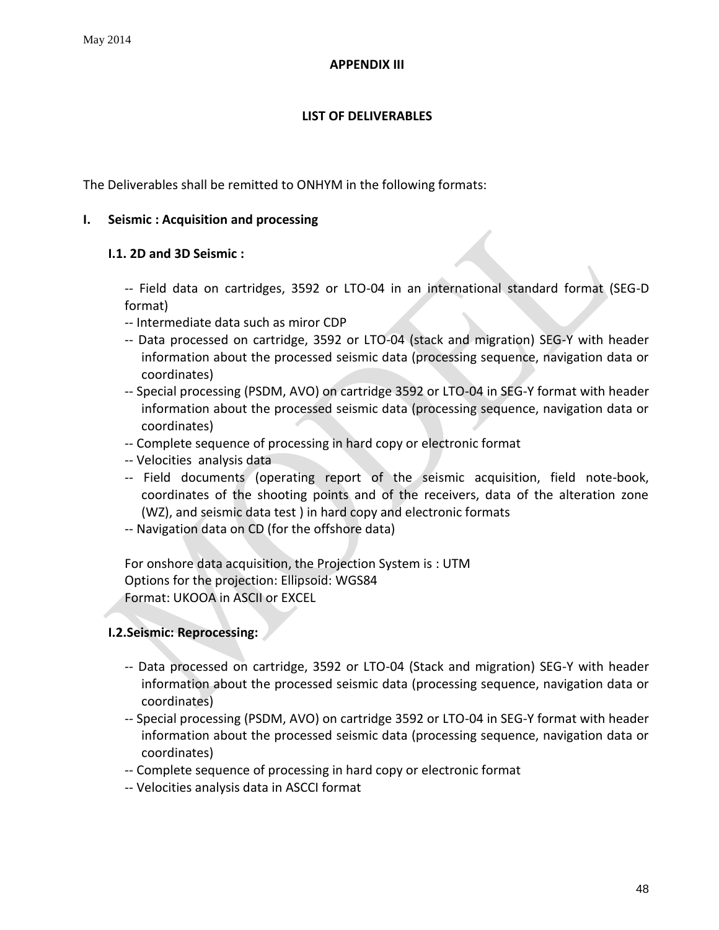### **APPENDIX III**

# **LIST OF DELIVERABLES**

<span id="page-47-0"></span>The Deliverables shall be remitted to ONHYM in the following formats:

### **I. Seismic : Acquisition and processing**

### **I.1. 2D and 3D Seismic :**

-- Field data on cartridges, 3592 or LTO-04 in an international standard format (SEG-D format)

- -- Intermediate data such as miror CDP
- -- Data processed on cartridge, 3592 or LTO-04 (stack and migration) SEG-Y with header information about the processed seismic data (processing sequence, navigation data or coordinates)
- -- Special processing (PSDM, AVO) on cartridge 3592 or LTO-04 in SEG-Y format with header information about the processed seismic data (processing sequence, navigation data or coordinates)
- -- Complete sequence of processing in hard copy or electronic format
- -- Velocities analysis data
- -- Field documents (operating report of the seismic acquisition, field note-book, coordinates of the shooting points and of the receivers, data of the alteration zone (WZ), and seismic data test ) in hard copy and electronic formats
- -- Navigation data on CD (for the offshore data)

For onshore data acquisition, the Projection System is : UTM Options for the projection: Ellipsoid: WGS84 Format: UKOOA in ASCII or EXCEL

# **I.2.Seismic: Reprocessing:**

- -- Data processed on cartridge, 3592 or LTO-04 (Stack and migration) SEG-Y with header information about the processed seismic data (processing sequence, navigation data or coordinates)
- -- Special processing (PSDM, AVO) on cartridge 3592 or LTO-04 in SEG-Y format with header information about the processed seismic data (processing sequence, navigation data or coordinates)
- -- Complete sequence of processing in hard copy or electronic format
- -- Velocities analysis data in ASCCI format